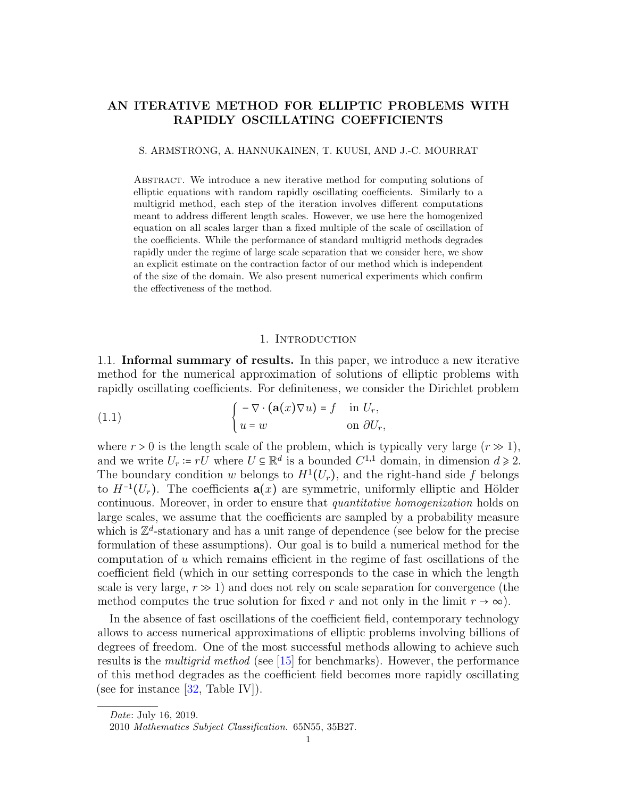# AN ITERATIVE METHOD FOR ELLIPTIC PROBLEMS WITH RAPIDLY OSCILLATING COEFFICIENTS

## S. ARMSTRONG, A. HANNUKAINEN, T. KUUSI, AND J.-C. MOURRAT

Abstract. We introduce a new iterative method for computing solutions of elliptic equations with random rapidly oscillating coefficients. Similarly to a multigrid method, each step of the iteration involves different computations meant to address different length scales. However, we use here the homogenized equation on all scales larger than a fixed multiple of the scale of oscillation of the coefficients. While the performance of standard multigrid methods degrades rapidly under the regime of large scale separation that we consider here, we show an explicit estimate on the contraction factor of our method which is independent of the size of the domain. We also present numerical experiments which confirm the effectiveness of the method.

# <span id="page-0-0"></span>1. INTRODUCTION

1.1. Informal summary of results. In this paper, we introduce a new iterative method for the numerical approximation of solutions of elliptic problems with rapidly oscillating coefficients. For definiteness, we consider the Dirichlet problem

(1.1) 
$$
\begin{cases} -\nabla \cdot (\mathbf{a}(x)\nabla u) = f & \text{in } U_r, \\ u = w & \text{on } \partial U_r, \end{cases}
$$

where  $r > 0$  is the length scale of the problem, which is typically very large  $(r \gg 1)$ , and we write  $U_r = r\tilde{U}$  where  $U \subseteq \mathbb{R}^d$  is a bounded  $C^{1,1}$  domain, in dimension  $d \ge 2$ . The boundary condition w belongs to  $H^1(U_r)$ , and the right-hand side f belongs to  $H^{-1}(U_r)$ . The coefficients  $a(x)$  are symmetric, uniformly elliptic and Hölder continuous. Moreover, in order to ensure that *quantitative homogenization* holds on large scales, we assume that the coefficients are sampled by a probability measure which is  $\mathbb{Z}^d$ -stationary and has a unit range of dependence (see below for the precise formulation of these assumptions). Our goal is to build a numerical method for the computation of  $u$  which remains efficient in the regime of fast oscillations of the coefficient field (which in our setting corresponds to the case in which the length scale is very large,  $r \gg 1$ ) and does not rely on scale separation for convergence (the method computes the true solution for fixed r and not only in the limit  $r \to \infty$ ).

In the absence of fast oscillations of the coefficient field, contemporary technology allows to access numerical approximations of elliptic problems involving billions of degrees of freedom. One of the most successful methods allowing to achieve such results is the multigrid method (see [\[15\]](#page-19-0) for benchmarks). However, the performance of this method degrades as the coefficient field becomes more rapidly oscillating (see for instance [\[32,](#page-19-1) Table IV]).

Date: July 16, 2019.

<sup>2010</sup> Mathematics Subject Classification. 65N55, 35B27.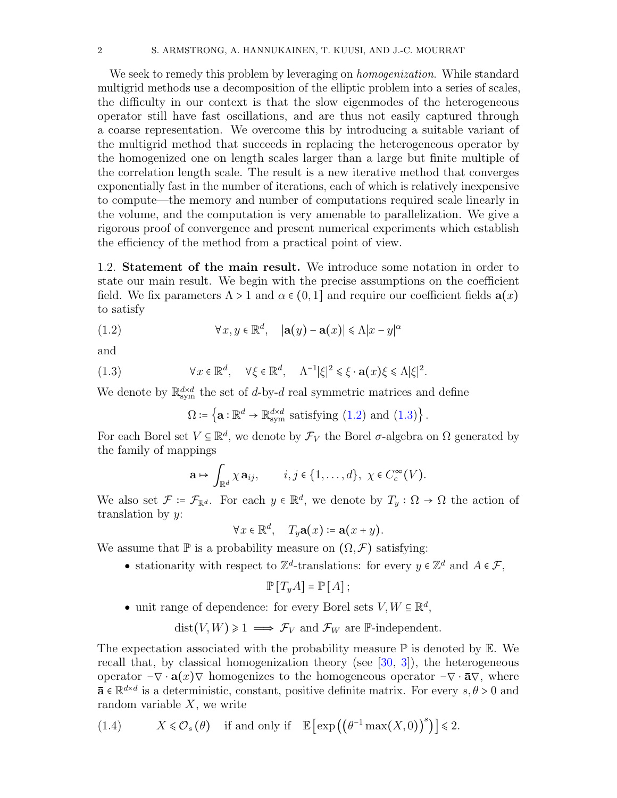We seek to remedy this problem by leveraging on *homogenization*. While standard multigrid methods use a decomposition of the elliptic problem into a series of scales, the difficulty in our context is that the slow eigenmodes of the heterogeneous operator still have fast oscillations, and are thus not easily captured through a coarse representation. We overcome this by introducing a suitable variant of the multigrid method that succeeds in replacing the heterogeneous operator by the homogenized one on length scales larger than a large but finite multiple of the correlation length scale. The result is a new iterative method that converges exponentially fast in the number of iterations, each of which is relatively inexpensive to compute—the memory and number of computations required scale linearly in the volume, and the computation is very amenable to parallelization. We give a rigorous proof of convergence and present numerical experiments which establish the efficiency of the method from a practical point of view.

1.2. Statement of the main result. We introduce some notation in order to state our main result. We begin with the precise assumptions on the coefficient field. We fix parameters  $\Lambda > 1$  and  $\alpha \in (0, 1]$  and require our coefficient fields  $\mathbf{a}(x)$ to satisfy

(1.2) 
$$
\forall x, y \in \mathbb{R}^d, \quad |\mathbf{a}(y) - \mathbf{a}(x)| \le \Lambda |x - y|^{\alpha}
$$

and

(1.3) 
$$
\forall x \in \mathbb{R}^d, \quad \forall \xi \in \mathbb{R}^d, \quad \Lambda^{-1} |\xi|^2 \leq \xi \cdot \mathbf{a}(x) \xi \leq \Lambda |\xi|^2.
$$

We denote by  $\mathbb{R}^{d \times d}_{sym}$  the set of d-by-d real symmetric matrices and define

<span id="page-1-1"></span><span id="page-1-0"></span>
$$
\Omega \coloneqq \left\{ \mathbf{a} : \mathbb{R}^d \to \mathbb{R}^{d \times d}_{\text{sym}} \text{ satisfying (1.2) and (1.3)} \right\}.
$$

For each Borel set  $V \subseteq \mathbb{R}^d$ , we denote by  $\mathcal{F}_V$  the Borel  $\sigma$ -algebra on  $\Omega$  generated by the family of mappings

$$
\mathbf{a} \mapsto \int_{\mathbb{R}^d} \chi \, \mathbf{a}_{ij}, \qquad i, j \in \{1, \ldots, d\}, \ \chi \in C_c^{\infty}(V).
$$

We also set  $\mathcal{F} = \mathcal{F}_{\mathbb{R}^d}$ . For each  $y \in \mathbb{R}^d$ , we denote by  $T_y : \Omega \to \Omega$  the action of translation by  $y$ :

$$
\forall x \in \mathbb{R}^d, \quad T_y \mathbf{a}(x) \coloneqq \mathbf{a}(x+y).
$$

We assume that  $\mathbb P$  is a probability measure on  $(\Omega, \mathcal F)$  satisfying:

• stationarity with respect to  $\mathbb{Z}^d$ -translations: for every  $y \in \mathbb{Z}^d$  and  $A \in \mathcal{F}$ ,

$$
\mathbb{P}[T_yA] = \mathbb{P}[A];
$$

• unit range of dependence: for every Borel sets  $V, W \subseteq \mathbb{R}^d$ ,

 $dist(V, W) \geq 1 \implies \mathcal{F}_V$  and  $\mathcal{F}_W$  are P-independent.

The expectation associated with the probability measure  $\mathbb P$  is denoted by  $\mathbb E$ . We recall that, by classical homogenization theory (see  $[30, 3]$  $[30, 3]$  $[30, 3]$ ), the heterogeneous operator  $-\nabla \cdot \mathbf{a}(x)$  homogenizes to the homogeneous operator  $-\nabla \cdot \overline{\mathbf{a}}$ , where  $\bar{\mathbf{a}} \in \mathbb{R}^{d \times d}$  is a deterministic, constant, positive definite matrix. For every  $s, \theta > 0$  and random variable  $X$ , we write

<span id="page-1-2"></span>(1.4) 
$$
X \leq \mathcal{O}_s(\theta)
$$
 if and only if  $\mathbb{E}[\exp((\theta^{-1} \max(X, 0))^s)] \leq 2$ .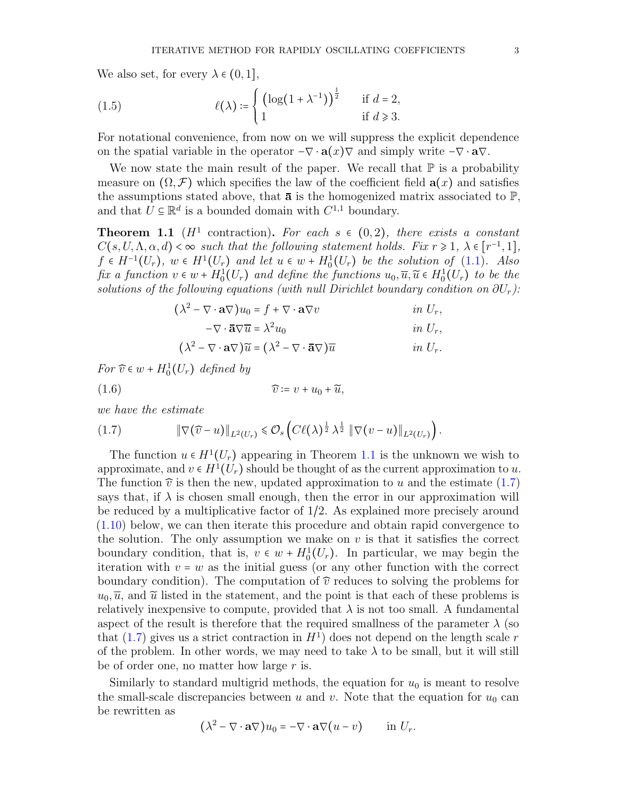We also set, for every  $\lambda \in (0,1],$ 

<span id="page-2-2"></span>(1.5) 
$$
\ell(\lambda) \coloneqq \begin{cases} \left(\log(1 + \lambda^{-1})\right)^{\frac{1}{2}} & \text{if } d = 2, \\ 1 & \text{if } d \geq 3. \end{cases}
$$

For notational convenience, from now on we will suppress the explicit dependence on the spatial variable in the operator  $-\nabla \cdot \mathbf{a}(x) \nabla$  and simply write  $-\nabla \cdot \mathbf{a} \nabla$ .

We now state the main result of the paper. We recall that  $\mathbb P$  is a probability measure on  $(\Omega, \mathcal{F})$  which specifies the law of the coefficient field  $\mathbf{a}(x)$  and satisfies the assumptions stated above, that  $\bar{a}$  is the homogenized matrix associated to  $\mathbb{P}$ , and that  $\hat{U} \subseteq \mathbb{R}^d$  is a bounded domain with  $C^{1,1}$  boundary.

<span id="page-2-0"></span>**Theorem 1.1** ( $H^1$  contraction). For each  $s \in (0,2)$ , there exists a constant  $C(s, U, \Lambda, \alpha, d) < \infty$  such that the following statement holds. Fix  $r \geq 1, \lambda \in [r^{-1}, 1],$  $f \in H^{-1}(U_r)$ ,  $w \in H^1(U_r)$  and let  $u \in w + H_0^1(U_r)$  be the solution of [\(1.1\)](#page-0-0). Also fix a function  $v \in w + H_0^1(U_r)$  and define the functions  $u_0, \overline{u}, \widetilde{u} \in H_0^1(U_r)$  to be the solutions of the following equations (with null Dirichlet boundary condition on  $\partial U_r$ ):

$$
(\lambda^{2} - \nabla \cdot \mathbf{a} \nabla) u_{0} = f + \nabla \cdot \mathbf{a} \nabla v \qquad \text{in } U_{r},
$$
  
\n
$$
-\nabla \cdot \mathbf{\bar{a}} \nabla \overline{u} = \lambda^{2} u_{0} \qquad \text{in } U_{r},
$$
  
\n
$$
(\lambda^{2} - \nabla \cdot \mathbf{a} \nabla) \widetilde{u} = (\lambda^{2} - \nabla \cdot \mathbf{\bar{a}} \nabla) \overline{u} \qquad \text{in } U_{r}.
$$

For  $\widehat{v} \in w + H_0^1(U_r)$  defined by

$$
(1.6) \t\t\t \tilde{v} \coloneqq v + u_0 + \tilde{u},
$$

we have the estimate

<span id="page-2-1"></span>
$$
(1.7) \t\t\t \|\nabla(\widehat{v}-u)\|_{L^2(U_r)} \leq \mathcal{O}_s\left(\mathcal{C}\ell(\lambda)^{\frac{1}{2}}\lambda^{\frac{1}{2}}\|\nabla(v-u)\|_{L^2(U_r)}\right).
$$

The function  $u \in H^1(U_r)$  appearing in Theorem [1.1](#page-2-0) is the unknown we wish to approximate, and  $v \in H^1(U_r)$  should be thought of as the current approximation to u. The function  $\hat{v}$  is then the new, updated approximation to u and the estimate [\(1.7\)](#page-2-1) says that, if  $\lambda$  is chosen small enough, then the error in our approximation will be reduced by a multiplicative factor of 1/2. As explained more precisely around [\(1.10\)](#page-3-0) below, we can then iterate this procedure and obtain rapid convergence to the solution. The only assumption we make on  $v$  is that it satisfies the correct boundary condition, that is,  $v \in w + H_0^1(U_r)$ . In particular, we may begin the iteration with  $v = w$  as the initial guess (or any other function with the correct boundary condition). The computation of  $\hat{v}$  reduces to solving the problems for  $u_0, \overline{u}$ , and  $\widetilde{u}$  listed in the statement, and the point is that each of these problems is relatively inexpensive to compute, provided that  $\lambda$  is not too small. A fundamental aspect of the result is therefore that the required smallness of the parameter  $\lambda$  (so that  $(1.7)$  gives us a strict contraction in  $H<sup>1</sup>$  does not depend on the length scale r of the problem. In other words, we may need to take  $\lambda$  to be small, but it will still be of order one, no matter how large  $r$  is.

Similarly to standard multigrid methods, the equation for  $u_0$  is meant to resolve the small-scale discrepancies between u and v. Note that the equation for  $u_0$  can be rewritten as

$$
(\lambda^2 - \nabla \cdot \mathbf{a} \nabla) u_0 = -\nabla \cdot \mathbf{a} \nabla (u - v) \quad \text{in } U_r.
$$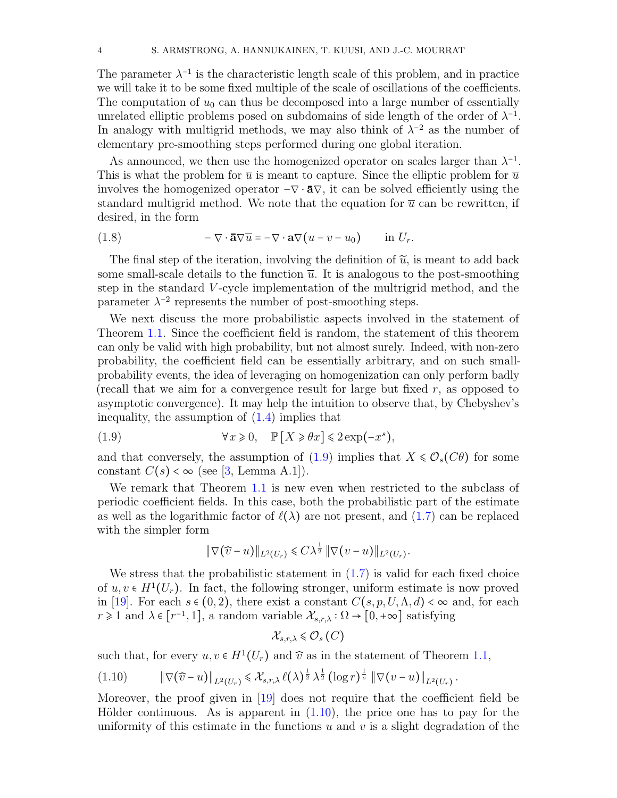The parameter  $\lambda^{-1}$  is the characteristic length scale of this problem, and in practice we will take it to be some fixed multiple of the scale of oscillations of the coefficients. The computation of  $u_0$  can thus be decomposed into a large number of essentially unrelated elliptic problems posed on subdomains of side length of the order of  $\lambda^{-1}$ . In analogy with multigrid methods, we may also think of  $\lambda^{-2}$  as the number of elementary pre-smoothing steps performed during one global iteration.

As announced, we then use the homogenized operator on scales larger than  $\lambda^{-1}$ . This is what the problem for  $\bar{u}$  is meant to capture. Since the elliptic problem for  $\bar{u}$ involves the homogenized operator  $-\nabla \cdot \bar{\mathbf{a}}\nabla$ , it can be solved efficiently using the standard multigrid method. We note that the equation for  $\bar{u}$  can be rewritten, if desired, in the form

<span id="page-3-2"></span>(1.8) 
$$
-\nabla \cdot \mathbf{a}\nabla \overline{u} = -\nabla \cdot \mathbf{a}\nabla (u - v - u_0) \quad \text{in } U_r.
$$

The final step of the iteration, involving the definition of  $\tilde{u}$ , is meant to add back some small-scale details to the function  $\bar{u}$ . It is analogous to the post-smoothing step in the standard V -cycle implementation of the multrigrid method, and the parameter  $\lambda^{-2}$  represents the number of post-smoothing steps.

We next discuss the more probabilistic aspects involved in the statement of Theorem [1.1.](#page-2-0) Since the coefficient field is random, the statement of this theorem can only be valid with high probability, but not almost surely. Indeed, with non-zero probability, the coefficient field can be essentially arbitrary, and on such smallprobability events, the idea of leveraging on homogenization can only perform badly (recall that we aim for a convergence result for large but fixed  $r$ , as opposed to asymptotic convergence). It may help the intuition to observe that, by Chebyshev's inequality, the assumption of  $(1.4)$  implies that

(1.9) 
$$
\forall x \geq 0, \quad \mathbb{P}[X \geq \theta x] \leq 2 \exp(-x^s),
$$

and that conversely, the assumption of [\(1.9\)](#page-3-1) implies that  $X \leq \mathcal{O}_s(C\theta)$  for some constant  $C(s) < \infty$  (see [\[3,](#page-18-0) Lemma A.1]).

We remark that Theorem [1.1](#page-2-0) is new even when restricted to the subclass of periodic coefficient fields. In this case, both the probabilistic part of the estimate as well as the logarithmic factor of  $\ell(\lambda)$  are not present, and [\(1.7\)](#page-2-1) can be replaced with the simpler form

<span id="page-3-1"></span>
$$
\|\nabla(\widehat{v}-u)\|_{L^2(U_r)} \leq C\lambda^{\frac{1}{2}} \|\nabla(v-u)\|_{L^2(U_r)}.
$$

We stress that the probabilistic statement in  $(1.7)$  is valid for each fixed choice of  $u, v \in H^1(U_r)$ . In fact, the following stronger, uniform estimate is now proved in [\[19\]](#page-19-3). For each  $s \in (0, 2)$ , there exist a constant  $C(s, p, U, \Lambda, d) < \infty$  and, for each  $r \geq 1$  and  $\lambda \in [r^{-1}, 1]$ , a random variable  $\mathcal{X}_{s,r,\lambda} : \Omega \to [0, +\infty]$  satisfying

$$
\mathcal{X}_{s,r,\lambda}\leqslant \mathcal{O}_{s}\left( C\right)
$$

such that, for every  $u, v \in H^1(U_r)$  and  $\hat{v}$  as in the statement of Theorem [1.1,](#page-2-0)

<span id="page-3-0"></span>
$$
(1.10) \t\t \|\nabla(\widehat{v} - u)\|_{L^2(U_r)} \leq \mathcal{X}_{s,r,\lambda} \ell(\lambda)^{\frac{1}{2}} \lambda^{\frac{1}{2}} (\log r)^{\frac{1}{s}} \|\nabla(v - u)\|_{L^2(U_r)}
$$

Moreover, the proof given in [\[19\]](#page-19-3) does not require that the coefficient field be Hölder continuous. As is apparent in  $(1.10)$ , the price one has to pay for the uniformity of this estimate in the functions  $u$  and  $v$  is a slight degradation of the

.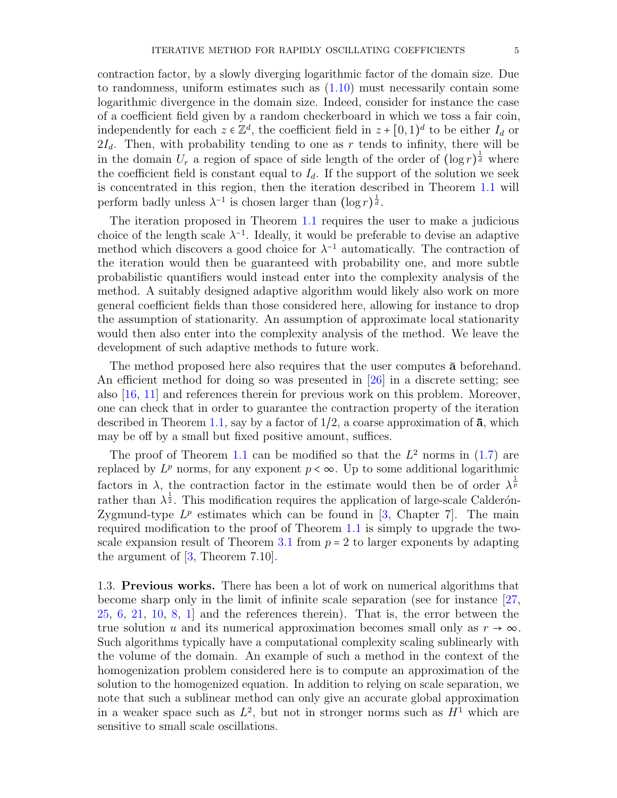contraction factor, by a slowly diverging logarithmic factor of the domain size. Due to randomness, uniform estimates such as  $(1.10)$  must necessarily contain some logarithmic divergence in the domain size. Indeed, consider for instance the case of a coefficient field given by a random checkerboard in which we toss a fair coin, independently for each  $z \in \mathbb{Z}^d$ , the coefficient field in  $z + [0, 1)^d$  to be either  $I_d$  or  $2I_d$ . Then, with probability tending to one as r tends to infinity, there will be in the domain  $U_r$  a region of space of side length of the order of  $(\log r)^{\frac{1}{d}}$  where the coefficient field is constant equal to  $I_d$ . If the support of the solution we seek is concentrated in this region, then the iteration described in Theorem [1.1](#page-2-0) will perform badly unless  $\lambda^{-1}$  is chosen larger than  $(\log r)^{\frac{1}{d}}$ .

The iteration proposed in Theorem [1.1](#page-2-0) requires the user to make a judicious choice of the length scale  $\lambda^{-1}$ . Ideally, it would be preferable to devise an adaptive method which discovers a good choice for  $\lambda^{-1}$  automatically. The contraction of the iteration would then be guaranteed with probability one, and more subtle probabilistic quantifiers would instead enter into the complexity analysis of the method. A suitably designed adaptive algorithm would likely also work on more general coefficient fields than those considered here, allowing for instance to drop the assumption of stationarity. An assumption of approximate local stationarity would then also enter into the complexity analysis of the method. We leave the development of such adaptive methods to future work.

The method proposed here also requires that the user computes  $\bar{a}$  beforehand. An efficient method for doing so was presented in [\[26\]](#page-19-4) in a discrete setting; see also [\[16,](#page-19-5) [11\]](#page-19-6) and references therein for previous work on this problem. Moreover, one can check that in order to guarantee the contraction property of the iteration described in Theorem [1.1,](#page-2-0) say by a factor of  $1/2$ , a coarse approximation of  $\bar{a}$ , which may be off by a small but fixed positive amount, suffices.

The proof of Theorem [1.1](#page-2-0) can be modified so that the  $L^2$  norms in [\(1.7\)](#page-2-1) are replaced by  $L^p$  norms, for any exponent  $p < \infty$ . Up to some additional logarithmic factors in  $\lambda$ , the contraction factor in the estimate would then be of order  $\lambda^{\frac{1}{p}}$ rather than  $\lambda^{\frac{1}{2}}$ . This modification requires the application of large-scale Calderón-Zygmund-type  $L^p$  estimates which can be found in [\[3,](#page-18-0) Chapter 7]. The main required modification to the proof of Theorem [1.1](#page-2-0) is simply to upgrade the two-scale expansion result of Theorem [3.1](#page-8-0) from  $p = 2$  to larger exponents by adapting the argument of [\[3,](#page-18-0) Theorem 7.10].

1.3. Previous works. There has been a lot of work on numerical algorithms that become sharp only in the limit of infinite scale separation (see for instance [\[27,](#page-19-7) [25,](#page-19-8) [6,](#page-18-1) [21,](#page-19-9) [10,](#page-19-10) [8,](#page-18-2) [1\]](#page-18-3) and the references therein). That is, the error between the true solution u and its numerical approximation becomes small only as  $r \to \infty$ . Such algorithms typically have a computational complexity scaling sublinearly with the volume of the domain. An example of such a method in the context of the homogenization problem considered here is to compute an approximation of the solution to the homogenized equation. In addition to relying on scale separation, we note that such a sublinear method can only give an accurate global approximation in a weaker space such as  $L^2$ , but not in stronger norms such as  $H^1$  which are sensitive to small scale oscillations.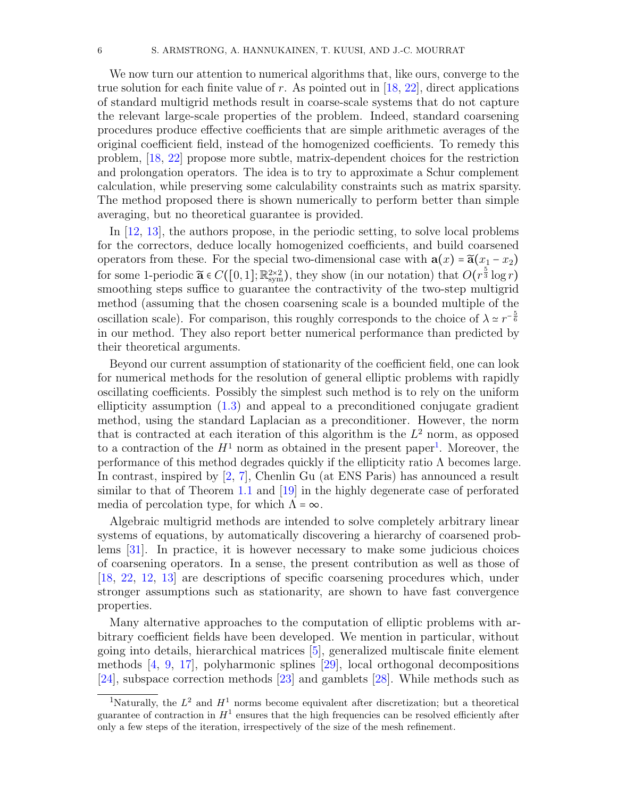We now turn our attention to numerical algorithms that, like ours, converge to the true solution for each finite value of r. As pointed out in  $[18, 22]$  $[18, 22]$  $[18, 22]$ , direct applications of standard multigrid methods result in coarse-scale systems that do not capture the relevant large-scale properties of the problem. Indeed, standard coarsening procedures produce effective coefficients that are simple arithmetic averages of the original coefficient field, instead of the homogenized coefficients. To remedy this problem, [\[18,](#page-19-11) [22\]](#page-19-12) propose more subtle, matrix-dependent choices for the restriction and prolongation operators. The idea is to try to approximate a Schur complement calculation, while preserving some calculability constraints such as matrix sparsity. The method proposed there is shown numerically to perform better than simple averaging, but no theoretical guarantee is provided.

In [\[12,](#page-19-13) [13\]](#page-19-14), the authors propose, in the periodic setting, to solve local problems for the correctors, deduce locally homogenized coefficients, and build coarsened operators from these. For the special two-dimensional case with  $\mathbf{a}(x) = \widetilde{\mathbf{a}}(x_1 - x_2)$ for some 1-periodic  $\widetilde{\mathbf{a}} \in C([0,1]; \mathbb{R}^{2 \times 2}_{sym})$ , they show (in our notation) that  $O(r^{\frac{5}{3}} \log r)$ smoothing steps suffice to guarantee the contractivity of the two-step multigrid method (assuming that the chosen coarsening scale is a bounded multiple of the oscillation scale). For comparison, this roughly corresponds to the choice of  $\lambda \approx r^{-\frac{5}{6}}$ in our method. They also report better numerical performance than predicted by their theoretical arguments.

Beyond our current assumption of stationarity of the coefficient field, one can look for numerical methods for the resolution of general elliptic problems with rapidly oscillating coefficients. Possibly the simplest such method is to rely on the uniform ellipticity assumption [\(1.3\)](#page-1-1) and appeal to a preconditioned conjugate gradient method, using the standard Laplacian as a preconditioner. However, the norm that is contracted at each iteration of this algorithm is the  $L<sup>2</sup>$  norm, as opposed to a contraction of the  $H^1$  $H^1$  norm as obtained in the present paper<sup>1</sup>. Moreover, the performance of this method degrades quickly if the ellipticity ratio  $\Lambda$  becomes large. In contrast, inspired by [\[2,](#page-18-4) [7\]](#page-18-5), Chenlin Gu (at ENS Paris) has announced a result similar to that of Theorem [1.1](#page-2-0) and [\[19\]](#page-19-3) in the highly degenerate case of perforated media of percolation type, for which  $\Lambda = \infty$ .

Algebraic multigrid methods are intended to solve completely arbitrary linear systems of equations, by automatically discovering a hierarchy of coarsened problems [\[31\]](#page-19-15). In practice, it is however necessary to make some judicious choices of coarsening operators. In a sense, the present contribution as well as those of [\[18,](#page-19-11) [22,](#page-19-12) [12,](#page-19-13) [13\]](#page-19-14) are descriptions of specific coarsening procedures which, under stronger assumptions such as stationarity, are shown to have fast convergence properties.

Many alternative approaches to the computation of elliptic problems with arbitrary coefficient fields have been developed. We mention in particular, without going into details, hierarchical matrices [\[5\]](#page-18-6), generalized multiscale finite element methods [\[4,](#page-18-7) [9,](#page-19-16) [17\]](#page-19-17), polyharmonic splines [\[29\]](#page-19-18), local orthogonal decompositions [\[24\]](#page-19-19), subspace correction methods [\[23\]](#page-19-20) and gamblets [\[28\]](#page-19-21). While methods such as

<span id="page-5-0"></span><sup>&</sup>lt;sup>1</sup>Naturally, the  $L^2$  and  $H^1$  norms become equivalent after discretization; but a theoretical guarantee of contraction in  $H^1$  ensures that the high frequencies can be resolved efficiently after only a few steps of the iteration, irrespectively of the size of the mesh refinement.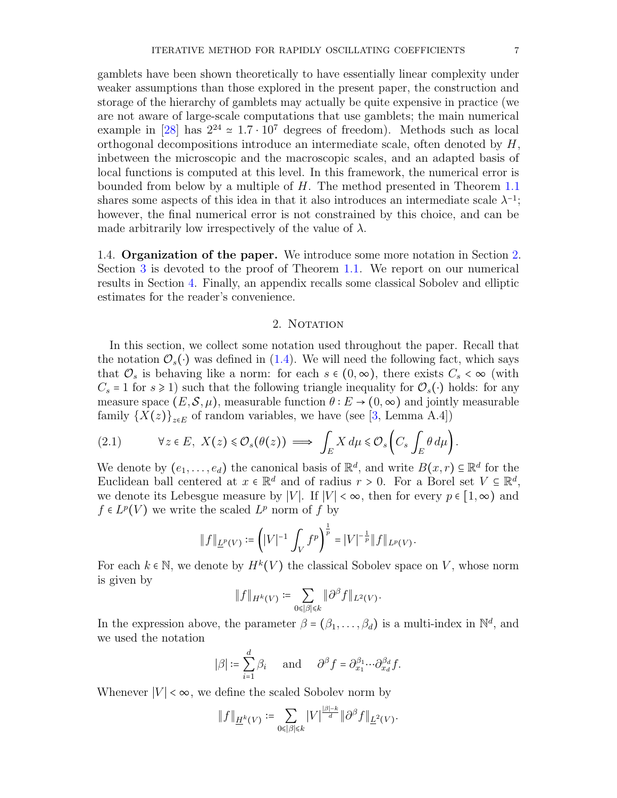gamblets have been shown theoretically to have essentially linear complexity under weaker assumptions than those explored in the present paper, the construction and storage of the hierarchy of gamblets may actually be quite expensive in practice (we are not aware of large-scale computations that use gamblets; the main numerical example in [\[28\]](#page-19-21) has  $2^{24} \approx 1.7 \cdot 10^7$  degrees of freedom). Methods such as local orthogonal decompositions introduce an intermediate scale, often denoted by H, inbetween the microscopic and the macroscopic scales, and an adapted basis of local functions is computed at this level. In this framework, the numerical error is bounded from below by a multiple of H. The method presented in Theorem [1.1](#page-2-0) shares some aspects of this idea in that it also introduces an intermediate scale  $\lambda^{-1}$ ; however, the final numerical error is not constrained by this choice, and can be made arbitrarily low irrespectively of the value of  $\lambda$ .

1.4. Organization of the paper. We introduce some more notation in Section [2.](#page-6-0) Section [3](#page-7-0) is devoted to the proof of Theorem [1.1.](#page-2-0) We report on our numerical results in Section [4.](#page-14-0) Finally, an appendix recalls some classical Sobolev and elliptic estimates for the reader's convenience.

# 2. NOTATION

<span id="page-6-0"></span>In this section, we collect some notation used throughout the paper. Recall that the notation  $\mathcal{O}_s(\cdot)$  was defined in [\(1.4\)](#page-1-2). We will need the following fact, which says that  $\mathcal{O}_s$  is behaving like a norm: for each  $s \in (0, \infty)$ , there exists  $C_s < \infty$  (with  $C_s = 1$  for  $s \ge 1$ ) such that the following triangle inequality for  $\mathcal{O}_s(\cdot)$  holds: for any measure space  $(E, \mathcal{S}, \mu)$ , measurable function  $\theta : E \to (0, \infty)$  and jointly measurable family  ${X(z)}_{z\in E}$  of random variables, we have (see [\[3,](#page-18-0) Lemma A.4])

<span id="page-6-1"></span>(2.1) 
$$
\forall z \in E, \ X(z) \leq \mathcal{O}_s(\theta(z)) \implies \int_E X \, d\mu \leq \mathcal{O}_s\left(C_s \int_E \theta \, d\mu\right).
$$

We denote by  $(e_1, \ldots, e_d)$  the canonical basis of  $\mathbb{R}^d$ , and write  $B(x,r) \subseteq \mathbb{R}^d$  for the Euclidean ball centered at  $x \in \mathbb{R}^d$  and of radius  $r > 0$ . For a Borel set  $V \subseteq \mathbb{R}^d$ , we denote its Lebesgue measure by |V|. If  $|V| < \infty$ , then for every  $p \in [1, \infty)$  and  $f \in L^p(V)$  we write the scaled  $L^p$  norm of f by

$$
||f||_{\underline{L}^p(V)} := \left(|V|^{-1} \int_V f^p \right)^{\frac{1}{p}} = |V|^{-\frac{1}{p}} ||f||_{L^p(V)}.
$$

For each  $k \in \mathbb{N}$ , we denote by  $H^k(V)$  the classical Sobolev space on V, whose norm is given by

$$
||f||_{H^k(V)} := \sum_{0 \leq |\beta| \leq k} ||\partial^{\beta} f||_{L^2(V)}.
$$

In the expression above, the parameter  $\beta = (\beta_1, \ldots, \beta_d)$  is a multi-index in  $\mathbb{N}^d$ , and we used the notation

$$
|\beta| \coloneqq \sum_{i=1}^d \beta_i \quad \text{and} \quad \partial^\beta f = \partial_{x_1}^{\beta_1} \cdots \partial_{x_d}^{\beta_d} f.
$$

Whenever  $|V| < \infty$ , we define the scaled Sobolev norm by

$$
||f||_{\underline{H}^k(V)} := \sum_{0 \leq |\beta| \leq k} |V|^{\frac{|\beta| - k}{d}} ||\partial^{\beta} f||_{\underline{L}^2(V)}.
$$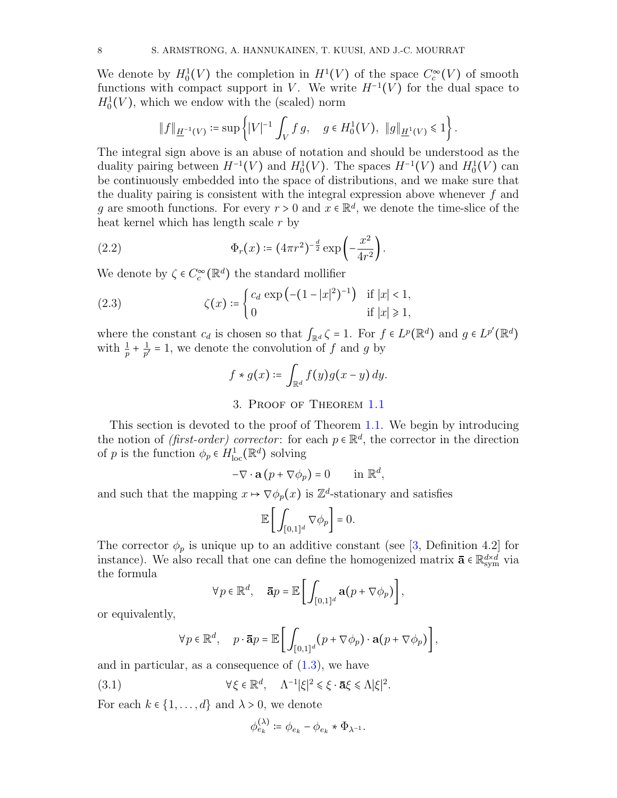We denote by  $H_0^1(V)$  the completion in  $H^1(V)$  of the space  $C_c^{\infty}(V)$  of smooth functions with compact support in V. We write  $H^{-1}(V)$  for the dual space to  $H_0^1(V)$ , which we endow with the (scaled) norm

$$
\|f\|_{\underline{H}^{-1}(V)} \coloneqq \sup \left\{ |V|^{-1} \int_V f g, \quad g \in H_0^1(V), \ \|g\|_{\underline{H}^1(V)} \leq 1 \right\}.
$$

The integral sign above is an abuse of notation and should be understood as the duality pairing between  $H^{-1}(V)$  and  $H_0^1(V)$ . The spaces  $H^{-1}(V)$  and  $H_0^1(V)$  can be continuously embedded into the space of distributions, and we make sure that the duality pairing is consistent with the integral expression above whenever  $f$  and g are smooth functions. For every  $r > 0$  and  $x \in \mathbb{R}^d$ , we denote the time-slice of the heat kernel which has length scale  $r$  by

(2.2) 
$$
\Phi_r(x) \coloneqq (4\pi r^2)^{-\frac{d}{2}} \exp\left(-\frac{x^2}{4r^2}\right).
$$

We denote by  $\zeta \in C_c^{\infty}(\mathbb{R}^d)$  the standard mollifier

(2.3) 
$$
\zeta(x) = \begin{cases} c_d \exp\left(-(1-|x|^2)^{-1}\right) & \text{if } |x| < 1, \\ 0 & \text{if } |x| \ge 1, \end{cases}
$$

where the constant  $c_d$  is chosen so that  $\int_{\mathbb{R}^d} \zeta = 1$ . For  $f \in L^p(\mathbb{R}^d)$  and  $g \in L^{p'}(\mathbb{R}^d)$ with  $\frac{1}{p} + \frac{1}{p'}$  $\frac{1}{p'}$  = 1, we denote the convolution of f and g by

<span id="page-7-1"></span>
$$
f * g(x) \coloneqq \int_{\mathbb{R}^d} f(y) g(x - y) \, dy.
$$

3. Proof of Theorem [1.1](#page-2-0)

<span id="page-7-0"></span>This section is devoted to the proof of Theorem [1.1.](#page-2-0) We begin by introducing the notion of *(first-order)* corrector: for each  $p \in \mathbb{R}^d$ , the corrector in the direction of p is the function  $\phi_p \in H^1_{loc}(\mathbb{R}^d)$  solving

$$
-\nabla \cdot \mathbf{a} (p + \nabla \phi_p) = 0 \quad \text{in } \mathbb{R}^d,
$$

and such that the mapping  $x \mapsto \nabla \phi_p(x)$  is  $\mathbb{Z}^d$ -stationary and satisfies

$$
\mathbb{E}\bigg[\int_{[0,1]^d}\nabla\phi_p\bigg]=0.
$$

The corrector  $\phi_p$  is unique up to an additive constant (see [\[3,](#page-18-0) Definition 4.2] for instance). We also recall that one can define the homogenized matrix  $\bar{\mathbf{a}} \in \mathbb{R}^{d \times d}_{sym}$  via the formula

$$
\forall p \in \mathbb{R}^d, \quad \mathbf{\bar{a}}p = \mathbb{E}\bigg[\int_{[0,1]^d} \mathbf{a}(p + \nabla \phi_p)\bigg],
$$

or equivalently,

$$
\forall p \in \mathbb{R}^d, \quad p \cdot \mathbf{\bar{a}}p = \mathbb{E}\bigg[\int_{[0,1]^d} (p + \nabla \phi_p) \cdot \mathbf{a}(p + \nabla \phi_p)\bigg],
$$

and in particular, as a consequence of  $(1.3)$ , we have

(3.1) 
$$
\forall \xi \in \mathbb{R}^d, \quad \Lambda^{-1}|\xi|^2 \leq \xi \cdot \bar{\mathbf{a}}\xi \leq \Lambda|\xi|^2.
$$

For each  $k \in \{1, \ldots, d\}$  and  $\lambda > 0$ , we denote

<span id="page-7-2"></span>
$$
\phi_{e_k}^{(\lambda)} \coloneqq \phi_{e_k} - \phi_{e_k} * \Phi_{\lambda^{-1}}.
$$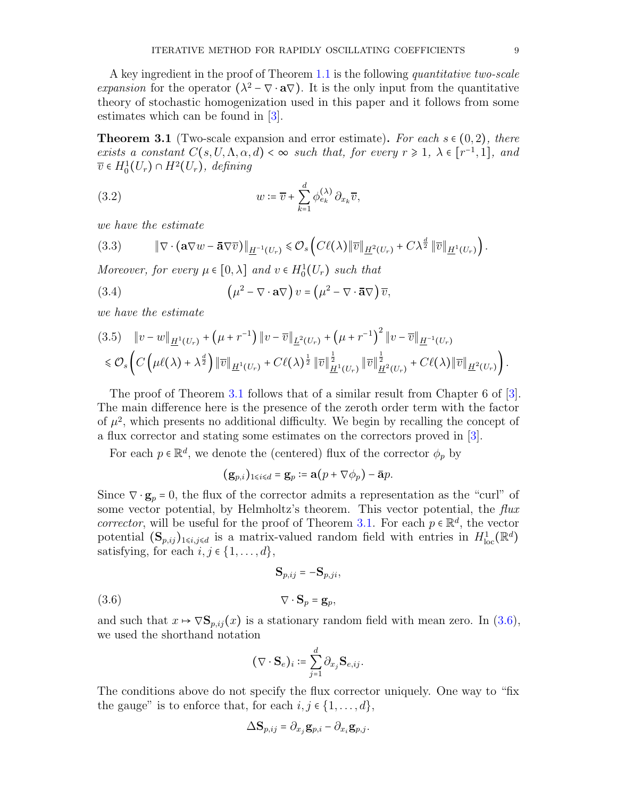A key ingredient in the proof of Theorem [1.1](#page-2-0) is the following quantitative two-scale expansion for the operator  $(\lambda^2 - \nabla \cdot \mathbf{a} \nabla)$ . It is the only input from the quantitative theory of stochastic homogenization used in this paper and it follows from some estimates which can be found in [\[3\]](#page-18-0).

<span id="page-8-0"></span>**Theorem 3.1** (Two-scale expansion and error estimate). For each  $s \in (0, 2)$ , there exists a constant  $C(s, U, \Lambda, \alpha, d) < \infty$  such that, for every  $r \geq 1$ ,  $\lambda \in [r^{-1}, 1]$ , and  $\overline{v} \in H_0^1(U_r) \cap H^2(U_r)$ , defining

<span id="page-8-2"></span>(3.2) 
$$
w \coloneqq \overline{v} + \sum_{k=1}^{d} \phi_{e_k}^{(\lambda)} \partial_{x_k} \overline{v},
$$

we have the estimate

<span id="page-8-3"></span>(3.3) ∥∇ ⋅ (a∇w − a∇v)∥H−<sup>1</sup> (Ur) ⩽ O<sup>s</sup> (C`(λ)∥v∥H<sup>2</sup> (Ur) <sup>+</sup> Cλ <sup>d</sup> <sup>2</sup> ∥v∥H<sup>1</sup> (Ur) ) .

Moreover, for every  $\mu \in [0, \lambda]$  and  $v \in H_0^1(U_r)$  such that

<span id="page-8-5"></span>(3.4) 
$$
\left(\mu^2 - \nabla \cdot \mathbf{a} \nabla\right) v = \left(\mu^2 - \nabla \cdot \mathbf{\bar{a}} \nabla\right) \overline{v},
$$

we have the estimate

<span id="page-8-4"></span>
$$
(3.5) \quad \|v - w\|_{\underline{H}^1(U_r)} + (\mu + r^{-1}) \|v - \overline{v}\|_{\underline{L}^2(U_r)} + (\mu + r^{-1})^2 \|v - \overline{v}\|_{\underline{H}^{-1}(U_r)} \n\leq \mathcal{O}_s \left( C \left( \mu \ell(\lambda) + \lambda^{\frac{d}{2}} \right) \| \overline{v} \|_{\underline{H}^1(U_r)} + C \ell(\lambda)^{\frac{1}{2}} \| \overline{v} \|_{\underline{H}^1(U_r)}^{\frac{1}{2}} \| \overline{v} \|_{\underline{H}^2(U_r)}^{\frac{1}{2}} + C \ell(\lambda) \| \overline{v} \|_{\underline{H}^2(U_r)} \right).
$$

The proof of Theorem [3.1](#page-8-0) follows that of a similar result from Chapter 6 of [\[3\]](#page-18-0). The main difference here is the presence of the zeroth order term with the factor of  $\mu^2$ , which presents no additional difficulty. We begin by recalling the concept of a flux corrector and stating some estimates on the correctors proved in [\[3\]](#page-18-0).

For each  $p \in \mathbb{R}^d$ , we denote the (centered) flux of the corrector  $\phi_p$  by

$$
(\mathbf{g}_{p,i})_{1\leq i\leq d}=\mathbf{g}_p\coloneqq\mathbf{a}(p+\nabla\phi_p)-\mathbf{\bar{a}}p.
$$

Since  $\nabla \cdot \mathbf{g}_p = 0$ , the flux of the corrector admits a representation as the "curl" of some vector potential, by Helmholtz's theorem. This vector potential, the flux corrector, will be useful for the proof of Theorem [3.1.](#page-8-0) For each  $p \in \mathbb{R}^d$ , the vector potential  $(\mathbf{S}_{p,ij})_{1\leq i,j\leq d}$  is a matrix-valued random field with entries in  $H^1_{loc}(\mathbb{R}^d)$ satisfying, for each  $i, j \in \{1, \ldots, d\}$ ,

<span id="page-8-1"></span>
$$
\mathbf{S}_{p,ij} = -\mathbf{S}_{p,ji},
$$

$$
(3.6) \t\t \nabla \cdot \mathbf{S}_p = \mathbf{g}_p,
$$

and such that  $x \mapsto \nabla \mathbf{S}_{p,ij}(x)$  is a stationary random field with mean zero. In [\(3.6\)](#page-8-1), we used the shorthand notation

$$
(\nabla \cdot \mathbf{S}_e)_i \coloneqq \sum_{j=1}^d \partial_{x_j} \mathbf{S}_{e,ij}.
$$

The conditions above do not specify the flux corrector uniquely. One way to "fix the gauge" is to enforce that, for each  $i, j \in \{1, \ldots, d\}$ ,

$$
\Delta \mathbf{S}_{p,ij} = \partial_{x_j} \mathbf{g}_{p,i} - \partial_{x_i} \mathbf{g}_{p,j}.
$$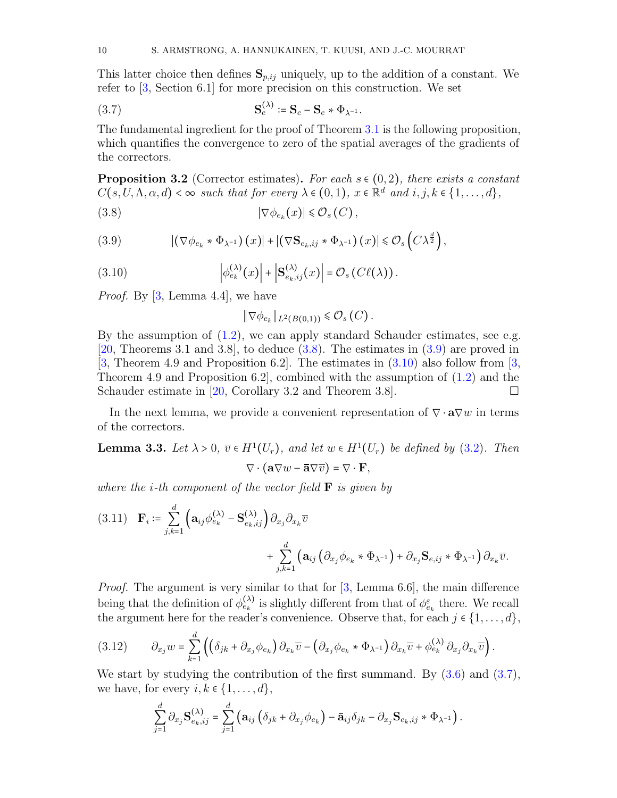This latter choice then defines  $S_{p,ij}$  uniquely, up to the addition of a constant. We refer to [\[3,](#page-18-0) Section 6.1] for more precision on this construction. We set

<span id="page-9-3"></span>(3.7) 
$$
\mathbf{S}_e^{(\lambda)} \coloneqq \mathbf{S}_e - \mathbf{S}_e * \Phi_{\lambda^{-1}}.
$$

The fundamental ingredient for the proof of Theorem [3.1](#page-8-0) is the following proposition, which quantifies the convergence to zero of the spatial averages of the gradients of the correctors.

<span id="page-9-7"></span>**Proposition 3.2** (Corrector estimates). For each  $s \in (0, 2)$ , there exists a constant  $C(s, U, \Lambda, \alpha, d) < \infty$  such that for every  $\lambda \in (0, 1), x \in \mathbb{R}^d$  and  $i, j, k \in \{1, ..., d\},$ 

$$
(3.8) \t |\nabla \phi_{e_k}(x)| \leq \mathcal{O}_s(C),
$$

<span id="page-9-1"></span>(3.9) 
$$
|(\nabla \phi_{e_k} * \Phi_{\lambda^{-1}})(x)| + |(\nabla \mathbf{S}_{e_k, i j} * \Phi_{\lambda^{-1}})(x)| \leq \mathcal{O}_s\left(C\lambda^{\frac{d}{2}}\right),
$$

(3.10) 
$$
\left| \phi_{e_k}^{(\lambda)}(x) \right| + \left| \mathbf{S}_{e_k, ij}^{(\lambda)}(x) \right| = \mathcal{O}_s \left( C \ell(\lambda) \right).
$$

*Proof.* By  $[3, \text{Lemma } 4.4]$  $[3, \text{Lemma } 4.4]$ , we have

<span id="page-9-2"></span><span id="page-9-0"></span>
$$
\|\nabla \phi_{e_k}\|_{L^2(B(0,1))} \leq \mathcal{O}_s(C).
$$

By the assumption of [\(1.2\)](#page-1-0), we can apply standard Schauder estimates, see e.g. [\[20,](#page-19-22) Theorems 3.1 and 3.8], to deduce [\(3.8\)](#page-9-0). The estimates in [\(3.9\)](#page-9-1) are proved in [\[3,](#page-18-0) Theorem 4.9 and Proposition 6.2]. The estimates in [\(3.10\)](#page-9-2) also follow from [\[3,](#page-18-0) Theorem 4.9 and Proposition 6.2, combined with the assumption of  $(1.2)$  and the Schauder estimate in [\[20,](#page-19-22) Corollary 3.2 and Theorem 3.8].

In the next lemma, we provide a convenient representation of  $\nabla \cdot \mathbf{a} \nabla w$  in terms of the correctors.

<span id="page-9-5"></span>**Lemma 3.3.** Let  $\lambda > 0$ ,  $\overline{v} \in H^1(U_r)$ , and let  $w \in H^1(U_r)$  be defined by [\(3.2\)](#page-8-2). Then  $\nabla \cdot (\mathbf{a} \nabla w - \mathbf{\bar{a}} \nabla \overline{v}) = \nabla \cdot \mathbf{F},$ 

where the *i*-th component of the vector field  $\bf{F}$  is given by

<span id="page-9-6"></span>
$$
(3.11) \quad \mathbf{F}_{i} \coloneqq \sum_{j,k=1}^{d} \left( \mathbf{a}_{ij} \phi_{e_{k}}^{(\lambda)} - \mathbf{S}_{e_{k},ij}^{(\lambda)} \right) \partial_{x_{j}} \partial_{x_{k}} \overline{v} + \sum_{j,k=1}^{d} \left( \mathbf{a}_{ij} \left( \partial_{x_{j}} \phi_{e_{k}} \ast \Phi_{\lambda^{-1}} \right) + \partial_{x_{j}} \mathbf{S}_{e,ij} \ast \Phi_{\lambda^{-1}} \right) \partial_{x_{k}} \overline{v}.
$$

*Proof.* The argument is very similar to that for  $[3, \text{ Lemma } 6.6]$  $[3, \text{ Lemma } 6.6]$ , the main difference being that the definition of  $\phi_{e_k}^{(\lambda)}$  is slightly different from that of  $\phi_{e_k}^{\varepsilon}$  there. We recall the argument here for the reader's convenience. Observe that, for each  $j \in \{1, \ldots, d\}$ ,

<span id="page-9-4"></span>
$$
(3.12) \qquad \partial_{x_j} w = \sum_{k=1}^d \left( \left( \delta_{jk} + \partial_{x_j} \phi_{e_k} \right) \partial_{x_k} \overline{v} - \left( \partial_{x_j} \phi_{e_k} \ast \Phi_{\lambda^{-1}} \right) \partial_{x_k} \overline{v} + \phi_{e_k}^{(\lambda)} \partial_{x_j} \partial_{x_k} \overline{v} \right).
$$

We start by studying the contribution of the first summand. By  $(3.6)$  and  $(3.7)$ , we have, for every  $i, k \in \{1, \ldots, d\},\$ 

$$
\sum_{j=1}^d \partial_{x_j} \mathbf{S}^{(\lambda)}_{e_k, ij} = \sum_{j=1}^d \left( \mathbf{a}_{ij} \left( \delta_{jk} + \partial_{x_j} \phi_{e_k} \right) - \overline{\mathbf{a}}_{ij} \delta_{jk} - \partial_{x_j} \mathbf{S}_{e_k, ij} \ast \Phi_{\lambda^{-1}} \right).
$$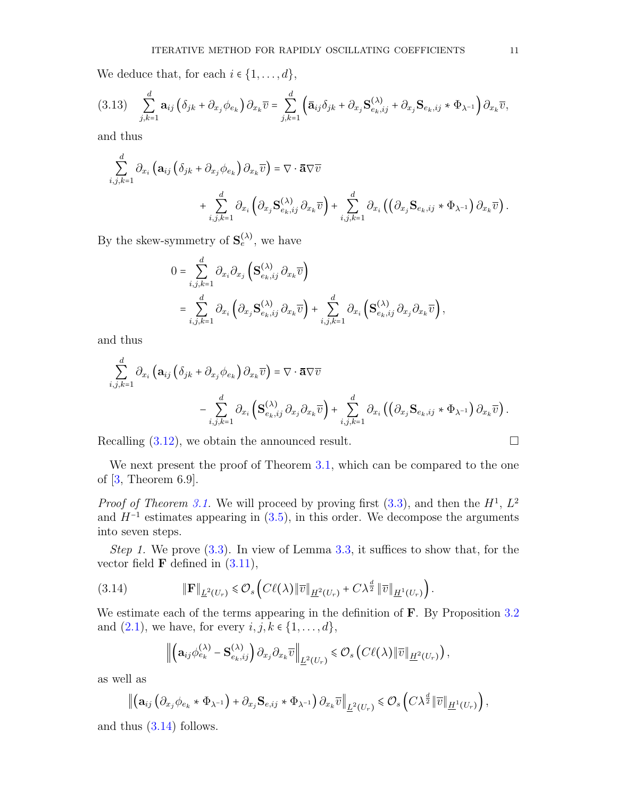We deduce that, for each  $i \in \{1, \ldots, d\}$ ,

$$
(3.13)\quad \sum_{j,k=1}^d \mathbf{a}_{ij} \left( \delta_{jk} + \partial_{x_j} \phi_{e_k} \right) \partial_{x_k} \overline{v} = \sum_{j,k=1}^d \left( \mathbf{\bar{a}}_{ij} \delta_{jk} + \partial_{x_j} \mathbf{S}^{(\lambda)}_{e_k,ij} + \partial_{x_j} \mathbf{S}_{e_k,ij} * \Phi_{\lambda^{-1}} \right) \partial_{x_k} \overline{v},
$$

and thus

$$
\sum_{i,j,k=1}^d \partial_{x_i} \left( \mathbf{a}_{ij} \left( \delta_{jk} + \partial_{x_j} \phi_{e_k} \right) \partial_{x_k} \overline{v} \right) = \nabla \cdot \overline{\mathbf{a}} \nabla \overline{v} \n+ \sum_{i,j,k=1}^d \partial_{x_i} \left( \partial_{x_j} \mathbf{S}^{(\lambda)}_{e_k,ij} \partial_{x_k} \overline{v} \right) + \sum_{i,j,k=1}^d \partial_{x_i} \left( \left( \partial_{x_j} \mathbf{S}_{e_k,ij} \ast \Phi_{\lambda^{-1}} \right) \partial_{x_k} \overline{v} \right).
$$

By the skew-symmetry of  $S_e^{(\lambda)}$ , we have

$$
0 = \sum_{i,j,k=1}^d \partial_{x_i} \partial_{x_j} \left( \mathbf{S}_{e_k,ij}^{(\lambda)} \partial_{x_k} \overline{v} \right)
$$
  
= 
$$
\sum_{i,j,k=1}^d \partial_{x_i} \left( \partial_{x_j} \mathbf{S}_{e_k,ij}^{(\lambda)} \partial_{x_k} \overline{v} \right) + \sum_{i,j,k=1}^d \partial_{x_i} \left( \mathbf{S}_{e_k,ij}^{(\lambda)} \partial_{x_j} \partial_{x_k} \overline{v} \right),
$$

and thus

$$
\sum_{i,j,k=1}^d \partial_{x_i} \left( \mathbf{a}_{ij} \left( \delta_{jk} + \partial_{x_j} \phi_{e_k} \right) \partial_{x_k} \overline{v} \right) = \nabla \cdot \overline{\mathbf{a}} \nabla \overline{v} \n- \sum_{i,j,k=1}^d \partial_{x_i} \left( \mathbf{S}_{e_k,ij}^{(\lambda)} \partial_{x_j} \partial_{x_k} \overline{v} \right) + \sum_{i,j,k=1}^d \partial_{x_i} \left( \left( \partial_{x_j} \mathbf{S}_{e_k,ij} \ast \Phi_{\lambda^{-1}} \right) \partial_{x_k} \overline{v} \right).
$$

Recalling  $(3.12)$ , we obtain the announced result.

We next present the proof of Theorem 3.1, which can be compared to the one of 
$$
[3, \text{ Theorem 6.9}].
$$

*Proof of Theorem [3.1.](#page-8-0)* We will proceed by proving first  $(3.3)$ , and then the  $H<sup>1</sup>$ ,  $L<sup>2</sup>$ and  $H^{-1}$  estimates appearing in [\(3.5\)](#page-8-4), in this order. We decompose the arguments into seven steps.

Step 1. We prove  $(3.3)$ . In view of Lemma [3.3,](#page-9-5) it suffices to show that, for the vector field  $\bf{F}$  defined in  $(3.11)$ ,

$$
(3.14) \t\t\t \t\t\t \t\t\t \mathbb{F}\|_{\underline{L}^2(U_r)} \leq \mathcal{O}_s\left(C\ell(\lambda)\|\overline{v}\|_{\underline{H}^2(U_r)} + C\lambda^{\frac{d}{2}}\|\overline{v}\|_{\underline{H}^1(U_r)}\right).
$$

We estimate each of the terms appearing in the definition of **F**. By Proposition [3.2](#page-9-7) and  $(2.1)$ , we have, for every  $i, j, k \in \{1, \ldots, d\}$ ,

<span id="page-10-0"></span>
$$
\left\| \left( \mathbf{a}_{ij} \phi_{e_k}^{(\lambda)} - \mathbf{S}_{e_k, ij}^{(\lambda)} \right) \partial_{x_j} \partial_{x_k} \overline{v} \right\|_{\underline{L}^2(U_r)} \leq \mathcal{O}_s \left( C\ell(\lambda) \|\overline{v}\|_{\underline{H}^2(U_r)} \right),
$$

as well as

$$
\left\|\left(\mathbf{a}_{ij}\left(\partial_{x_j}\phi_{e_k}\ast\Phi_{\lambda^{-1}}\right)+\partial_{x_j}\mathbf{S}_{e,ij}\ast\Phi_{\lambda^{-1}}\right)\partial_{x_k}\overline{v}\right\|_{\underline{L}^2(U_r)}\leqslant\mathcal{O}_s\left(C\lambda^{\frac{d}{2}}\|\overline{v}\|_{\underline{H}^1(U_r)}\right),
$$

and thus [\(3.14\)](#page-10-0) follows.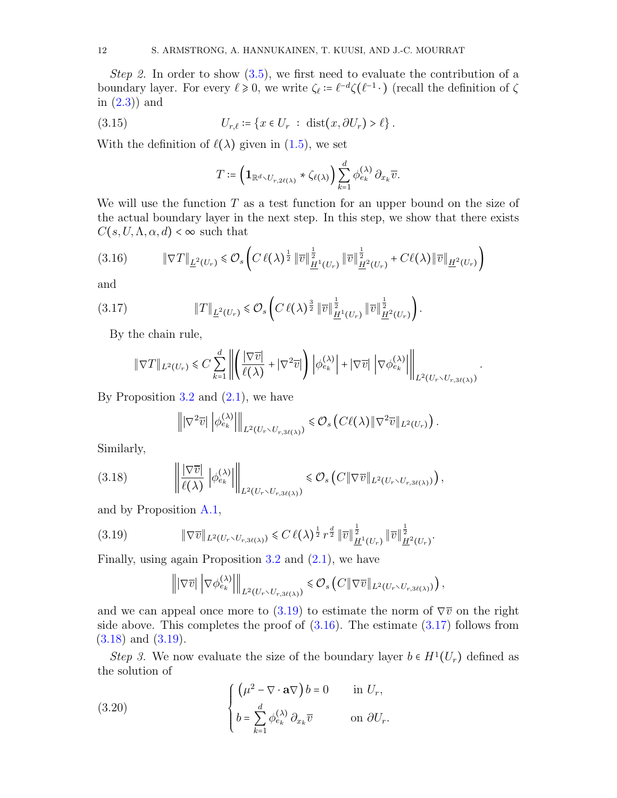Step 2. In order to show  $(3.5)$ , we first need to evaluate the contribution of a boundary layer. For every  $\ell \geq 0$ , we write  $\zeta_{\ell} \coloneqq \ell^{-d} \zeta(\ell^{-1} \cdot)$  (recall the definition of  $\zeta$ in [\(2.3\)](#page-7-1)) and

$$
(3.15) \t\t\t U_{r,\ell} \coloneqq \{x \in U_r \; : \; \text{dist}(x, \partial U_r) > \ell\}.
$$

With the definition of  $\ell(\lambda)$  given in [\(1.5\)](#page-2-2), we set

<span id="page-11-5"></span>
$$
T \coloneqq \left(\mathbf{1}_{\mathbb{R}^d \setminus U_{r,2\ell(\lambda)}} * \zeta_{\ell(\lambda)}\right) \sum_{k=1}^d \phi_{e_k}^{(\lambda)} \partial_{x_k} \overline{v}.
$$

We will use the function  $T$  as a test function for an upper bound on the size of the actual boundary layer in the next step. In this step, we show that there exists  $C(s, U, \Lambda, \alpha, d) < \infty$  such that

<span id="page-11-1"></span>
$$
(3.16) \t\t\t \|\nabla T\|_{\underline{L}^{2}(U_{r})} \leq \mathcal{O}_{s}\left(C\,\ell(\lambda)^{\frac{1}{2}}\,\|\overline{v}\|_{\underline{H}^{1}(U_{r})}^{\frac{1}{2}}\,\|\overline{v}\|_{\underline{H}^{2}(U_{r})}^{\frac{1}{2}} + C\ell(\lambda)\|\overline{v}\|_{\underline{H}^{2}(U_{r})}\right)
$$

and

$$
(3.17) \t\t\t\t \|T\|_{\underline{L}^{2}(U_{r})} \leq \mathcal{O}_{s}\left(C\,\ell(\lambda)^{\frac{3}{2}}\,\|\overline{v}\|_{\underline{H}^{1}(U_{r})}^{\frac{1}{2}}\,\|\overline{v}\|_{\underline{H}^{2}(U_{r})}^{\frac{1}{2}}\right).
$$

By the chain rule,

<span id="page-11-2"></span>
$$
\|\nabla T\|_{L^2(U_r)} \leq C \sum_{k=1}^d \left\| \left( \frac{|\nabla \overline{v}|}{\ell(\lambda)} + |\nabla^2 \overline{v}| \right) \left| \phi_{e_k}^{(\lambda)} \right| + |\nabla \overline{v}| \left| \nabla \phi_{e_k}^{(\lambda)} \right| \right\|_{L^2(U_r \smallsetminus U_{r,3\ell(\lambda)})}.
$$

By Proposition  $3.2$  and  $(2.1)$ , we have

<span id="page-11-3"></span>
$$
\left\| |\nabla^2 \overline{v}| \left| \phi_{e_k}^{(\lambda)} \right| \right\|_{L^2(U_r \setminus U_{r,3\ell(\lambda)})} \leq \mathcal{O}_s \left( C\ell(\lambda) \|\nabla^2 \overline{v}\|_{L^2(U_r)} \right).
$$

Similarly,

$$
(3.18) \t\t \t\t \left\| \frac{\nabla \overline{v}}{\ell(\lambda)} \left| \phi_{e_k}^{(\lambda)} \right| \right\|_{L^2(U_r \setminus U_{r,3\ell(\lambda)})} \leq \mathcal{O}_s\left(C \|\nabla \overline{v}\|_{L^2(U_r \setminus U_{r,3\ell(\lambda)})}\right),
$$

and by Proposition [A.1,](#page-18-8)

$$
(3.19) \t\t\t \|\nabla \overline{v}\|_{L^{2}(U_{r}\setminus U_{r,3\ell(\lambda)})}\leq C\,\ell(\lambda)^{\frac{1}{2}}\,r^{\frac{d}{2}}\,\|\overline{v}\|_{\underline{H}^{1}(U_{r})}^{\frac{1}{2}}\,\|\overline{v}\|_{\underline{H}^{2}(U_{r})}^{\frac{1}{2}}.
$$

Finally, using again Proposition  $3.2$  and  $(2.1)$ , we have

<span id="page-11-0"></span>
$$
\left\| |\nabla \overline{v}| \left| \nabla \phi_{e_k}^{(\lambda)} \right| \right\|_{L^2(U_r \setminus U_{r,3\ell(\lambda)})} \leq \mathcal{O}_s \left( C \| \nabla \overline{v} \|_{L^2(U_r \setminus U_{r,3\ell(\lambda)})} \right),
$$

and we can appeal once more to [\(3.19\)](#page-11-0) to estimate the norm of  $\nabla \overline{v}$  on the right side above. This completes the proof of  $(3.16)$ . The estimate  $(3.17)$  follows from [\(3.18\)](#page-11-3) and [\(3.19\)](#page-11-0).

Step 3. We now evaluate the size of the boundary layer  $b \in H^1(U_r)$  defined as the solution of

<span id="page-11-4"></span>(3.20) 
$$
\begin{cases} \left(\mu^2 - \nabla \cdot \mathbf{a} \nabla\right) b = 0 & \text{in } U_r, \\ b = \sum_{k=1}^d \phi_{e_k}^{(\lambda)} \partial_{x_k} \overline{v} & \text{on } \partial U_r. \end{cases}
$$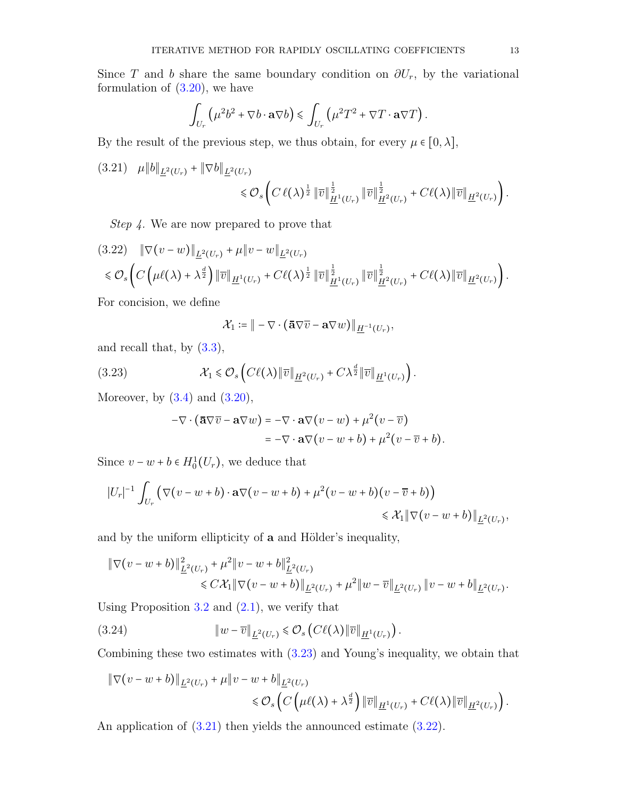Since T and b share the same boundary condition on  $\partial U_r$ , by the variational formulation of  $(3.20)$ , we have

$$
\int_{U_r} \left( \mu^2 b^2 + \nabla b \cdot \mathbf{a} \nabla b \right) \leq \int_{U_r} \left( \mu^2 T^2 + \nabla T \cdot \mathbf{a} \nabla T \right).
$$

By the result of the previous step, we thus obtain, for every  $\mu \in [0, \lambda]$ ,

<span id="page-12-1"></span>
$$
(3.21) \quad \mu \|b\|_{\underline{L}^2(U_r)} + \|\nabla b\|_{\underline{L}^2(U_r)} \leq \mathcal{O}_s \left( C\,\ell(\lambda)^{\frac{1}{2}} \|\overline{v}\|_{\underline{H}^1(U_r)}^{\frac{1}{2}} \|\overline{v}\|_{\underline{H}^2(U_r)}^{\frac{1}{2}} + C\ell(\lambda) \|\overline{v}\|_{\underline{H}^2(U_r)} \right).
$$

Step 4. We are now prepared to prove that

<span id="page-12-2"></span>
$$
(3.22) \quad \|\nabla(v-w)\|_{\underline{L}^{2}(U_{r})} + \mu\|v-w\|_{\underline{L}^{2}(U_{r})} \n\leq \mathcal{O}_{s}\left(C\left(\mu\ell(\lambda)+\lambda^{\frac{d}{2}}\right)\|\overline{v}\|_{\underline{H}^{1}(U_{r})} + C\ell(\lambda)^{\frac{1}{2}}\|\overline{v}\|_{\underline{H}^{1}(U_{r})}^{\frac{1}{2}}\|\overline{v}\|_{\underline{H}^{2}(U_{r})}^{\frac{1}{2}} + C\ell(\lambda)\|\overline{v}\|_{\underline{H}^{2}(U_{r})}\right).
$$

For concision, we define

<span id="page-12-0"></span>
$$
\mathcal{X}_1 \coloneqq \| - \nabla \cdot (\mathbf{\bar{a}} \nabla \overline{v} - \mathbf{a} \nabla w) \|_{\underline{H}^{-1}(U_r)},
$$

and recall that, by  $(3.3)$ ,

(3.23) 
$$
\mathcal{X}_1 \leq \mathcal{O}_s \left( C\ell(\lambda) \| \overline{v} \|_{\underline{H}^2(U_r)} + C\lambda^{\frac{d}{2}} \| \overline{v} \|_{\underline{H}^1(U_r)} \right).
$$

Moreover, by  $(3.4)$  and  $(3.20)$ ,

$$
-\nabla \cdot (\overline{\mathbf{a}} \nabla \overline{v} - \mathbf{a} \nabla w) = -\nabla \cdot \mathbf{a} \nabla (v - w) + \mu^2 (v - \overline{v})
$$
  
=  $-\nabla \cdot \mathbf{a} \nabla (v - w + b) + \mu^2 (v - \overline{v} + b).$ 

Since  $v - w + b \in H_0^1(U_r)$ , we deduce that

$$
|U_r|^{-1} \int_{U_r} \left( \nabla (v - w + b) \cdot \mathbf{a} \nabla (v - w + b) + \mu^2 (v - w + b)(v - \overline{v} + b) \right) \le \mathcal{X}_1 \|\nabla (v - w + b)\|_{\underline{L}^2(U_r)},
$$

and by the uniform ellipticity of **a** and Hölder's inequality,

$$
\begin{aligned} &\|\nabla(v-w+b)\|_{\underline{L}^2(U_r)}^2+\mu^2\|v-w+b\|_{\underline{L}^2(U_r)}^2\\&\leq C\mathcal{X}_1\|\nabla(v-w+b)\|_{\underline{L}^2(U_r)}+\mu^2\|w-\overline{v}\|_{\underline{L}^2(U_r)}\|v-w+b\|_{\underline{L}^2(U_r)}. \end{aligned}
$$

Using Proposition  $3.2$  and  $(2.1)$ , we verify that

<span id="page-12-3"></span>(3.24) 
$$
\|w - \overline{v}\|_{\underline{L}^2(U_r)} \leq \mathcal{O}_s\left(C\ell(\lambda)\|\overline{v}\|_{\underline{H}^1(U_r)}\right).
$$

Combining these two estimates with [\(3.23\)](#page-12-0) and Young's inequality, we obtain that

$$
\begin{aligned} \|\nabla(v - w + b)\|_{\underline{L}^2(U_r)} + \mu \|v - w + b\|_{\underline{L}^2(U_r)} \\ &\leq \mathcal{O}_s\left(C\left(\mu\ell(\lambda) + \lambda^{\frac{d}{2}}\right) \|\overline{v}\|_{\underline{H}^1(U_r)} + C\ell(\lambda) \|\overline{v}\|_{\underline{H}^2(U_r)}\right). \end{aligned}
$$

An application of  $(3.21)$  then yields the announced estimate  $(3.22)$ .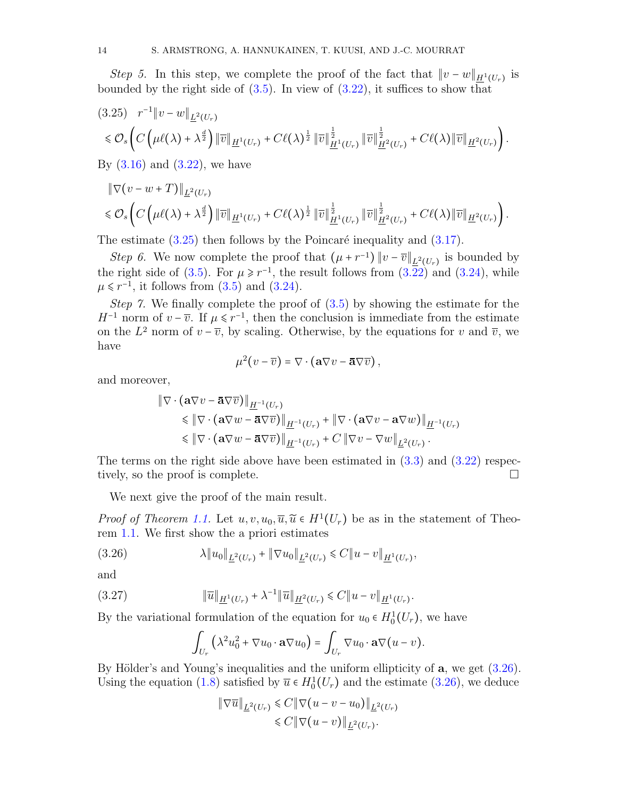Step 5. In this step, we complete the proof of the fact that  $||v - w||_{\underline{H}^{1}(U_{r})}$  is bounded by the right side of  $(3.5)$ . In view of  $(3.22)$ , it suffices to show that

<span id="page-13-0"></span>
$$
(3.25) \t r^{-1} \|v - w\|_{\underline{L}^2(U_r)} \leq \mathcal{O}_s \left( C \left( \mu \ell(\lambda) + \lambda^{\frac{d}{2}} \right) \| \overline{v} \|_{\underline{H}^1(U_r)} + C \ell(\lambda)^{\frac{1}{2}} \| \overline{v} \|_{\underline{H}^1(U_r)}^{\frac{1}{2}} \| \overline{v} \|_{\underline{H}^2(U_r)}^{\frac{1}{2}} + C \ell(\lambda) \| \overline{v} \|_{\underline{H}^2(U_r)} \right).
$$

By  $(3.16)$  and  $(3.22)$ , we have

$$
\|\nabla(v-w+T)\|_{\underline{L}^2(U_r)}\n\leq \mathcal{O}_s\left(C\left(\mu\ell(\lambda)+\lambda^{\frac{d}{2}}\right)\|\overline{v}\|_{\underline{H}^1(U_r)}+C\ell(\lambda)^{\frac{1}{2}}\|\overline{v}\|_{\underline{H}^1(U_r)}^{\frac{1}{2}}\|\overline{v}\|_{\underline{H}^2(U_r)}^{\frac{1}{2}}+C\ell(\lambda)\|\overline{v}\|_{\underline{H}^2(U_r)}\right).
$$

The estimate  $(3.25)$  then follows by the Poincaré inequality and  $(3.17)$ .

Step 6. We now complete the proof that  $(\mu + r^{-1}) || v - \overline{v} ||_{\underline{L}^2(U_r)}$  is bounded by the right side of [\(3.5\)](#page-8-4). For  $\mu \ge r^{-1}$ , the result follows from [\(3.22\)](#page-12-2) and [\(3.24\)](#page-12-3), while  $\mu \leq r^{-1}$ , it follows from [\(3.5\)](#page-8-4) and [\(3.24\)](#page-12-3).

Step 7. We finally complete the proof of  $(3.5)$  by showing the estimate for the  $H^{-1}$  norm of  $v - \overline{v}$ . If  $\mu \leq r^{-1}$ , then the conclusion is immediate from the estimate on the  $L^2$  norm of  $v - \overline{v}$ , by scaling. Otherwise, by the equations for v and  $\overline{v}$ , we have

$$
\mu^2(v-\overline{v})=\nabla\cdot(\mathbf{a}\nabla v-\overline{\mathbf{a}}\nabla\overline{v}),
$$

and moreover,

$$
\|\nabla \cdot (\mathbf{a}\nabla v - \overline{\mathbf{a}}\nabla \overline{v})\|_{\underline{H}^{-1}(U_r)}\n\leq \|\nabla \cdot (\mathbf{a}\nabla w - \overline{\mathbf{a}}\nabla \overline{v})\|_{\underline{H}^{-1}(U_r)} + \|\nabla \cdot (\mathbf{a}\nabla v - \mathbf{a}\nabla w)\|_{\underline{H}^{-1}(U_r)}\n\leq \|\nabla \cdot (\mathbf{a}\nabla w - \overline{\mathbf{a}}\nabla \overline{v})\|_{\underline{H}^{-1}(U_r)} + C \|\nabla v - \nabla w\|_{\underline{L}^2(U_r)}.
$$

The terms on the right side above have been estimated in  $(3.3)$  and  $(3.22)$  respectively, so the proof is complete.

We next give the proof of the main result.

*Proof of Theorem [1.1.](#page-2-0)* Let  $u, v, u_0, \overline{u}, \widetilde{u} \in H^1(U_r)$  be as in the statement of Theorem [1.1.](#page-2-0) We first show the a priori estimates

(3.26) λ∥u0∥<sup>L</sup> 2 (Ur) + ∥∇u0∥<sup>L</sup> 2 (Ur) ⩽ C∥u − v∥H<sup>1</sup> (Ur) ,

and

(3.27) 
$$
\|\overline{u}\|_{\underline{H}^1(U_r)} + \lambda^{-1} \|\overline{u}\|_{\underline{H}^2(U_r)} \leq C \|u - v\|_{\underline{H}^1(U_r)}.
$$

By the variational formulation of the equation for  $u_0 \in H_0^1(U_r)$ , we have

<span id="page-13-2"></span><span id="page-13-1"></span>
$$
\int_{U_r} \left( \lambda^2 u_0^2 + \nabla u_0 \cdot \mathbf{a} \nabla u_0 \right) = \int_{U_r} \nabla u_0 \cdot \mathbf{a} \nabla (u - v).
$$

By Hölder's and Young's inequalities and the uniform ellipticity of  $a$ , we get  $(3.26)$ . Using the equation [\(1.8\)](#page-3-2) satisfied by  $\overline{u} \in H_0^1(U_r)$  and the estimate [\(3.26\)](#page-13-1), we deduce

$$
\|\nabla \overline{u}\|_{\underline{L}^2(U_r)} \leq C \|\nabla (u - v - u_0)\|_{\underline{L}^2(U_r)}
$$
  

$$
\leq C \|\nabla (u - v)\|_{\underline{L}^2(U_r)}.
$$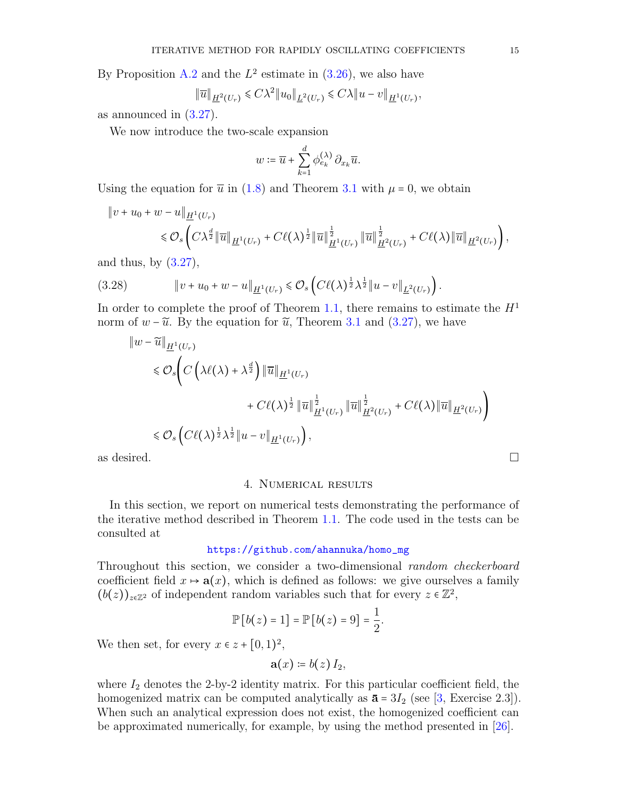By Proposition [A.2](#page-18-9) and the  $L^2$  estimate in  $(3.26)$ , we also have

$$
\|\overline{u}\|_{\underline{H}^{2}(U_{r})} \leq C\lambda^{2} \|u_{0}\|_{\underline{L}^{2}(U_{r})} \leq C\lambda \|u-v\|_{\underline{H}^{1}(U_{r})},
$$

as announced in [\(3.27\)](#page-13-2).

We now introduce the two-scale expansion

$$
w \coloneqq \overline{u} + \sum_{k=1}^d \phi_{e_k}^{(\lambda)} \, \partial_{x_k} \overline{u}.
$$

Using the equation for  $\bar{u}$  in [\(1.8\)](#page-3-2) and Theorem [3.1](#page-8-0) with  $\mu = 0$ , we obtain

$$
\|v+u_0+w-u\|_{\underline{H}^1(U_r)}\leq \mathcal{O}_s\left(C\lambda^{\frac{d}{2}}\|\overline{u}\|_{\underline{H}^1(U_r)}+C\ell(\lambda)^{\frac{1}{2}}\|\overline{u}\|_{\underline{H}^1(U_r)}^{\frac{1}{2}}\|\overline{u}\|_{\underline{H}^2(U_r)}^{\frac{1}{2}}+C\ell(\lambda)\|\overline{u}\|_{\underline{H}^2(U_r)}\right),
$$

and thus, by  $(3.27)$ ,

$$
(3.28) \t\t\t ||v + u_0 + w - u||_{\underline{H}^1(U_r)} \leq \mathcal{O}_s \left( C\ell(\lambda)^{\frac{1}{2}} \lambda^{\frac{1}{2}} ||u - v||_{\underline{L}^2(U_r)} \right).
$$

In order to complete the proof of Theorem [1.1,](#page-2-0) there remains to estimate the  $H<sup>1</sup>$ norm of  $w - \tilde{u}$ . By the equation for  $\tilde{u}$ , Theorem [3.1](#page-8-0) and [\(3.27\)](#page-13-2), we have

$$
\|w - \widetilde{u}\|_{\underline{H}^1(U_r)}
$$
\n
$$
\leq \mathcal{O}_s \Bigg( C \Big( \lambda \ell(\lambda) + \lambda^{\frac{d}{2}} \Big) \|\overline{u}\|_{\underline{H}^1(U_r)}
$$
\n
$$
+ C\ell(\lambda)^{\frac{1}{2}} \|\overline{u}\|_{\underline{H}^1(U_r)}^{\frac{1}{2}} \|\overline{u}\|_{\underline{H}^2(U_r)}^{\frac{1}{2}} + C\ell(\lambda) \|\overline{u}\|_{\underline{H}^2(U_r)} \Bigg)
$$
\n
$$
\leq \mathcal{O}_s \Big( C\ell(\lambda)^{\frac{1}{2}} \lambda^{\frac{1}{2}} \|u - v\|_{\underline{H}^1(U_r)} \Big),
$$
\nas desired.

<span id="page-14-0"></span>

#### 4. Numerical results

In this section, we report on numerical tests demonstrating the performance of the iterative method described in Theorem [1.1.](#page-2-0) The code used in the tests can be consulted at

## [https://github.com/ahannuka/homo\\_mg](https://github.com/ahannuka/homo_mg)

Throughout this section, we consider a two-dimensional *random checkerboard* coefficient field  $x \mapsto a(x)$ , which is defined as follows: we give ourselves a family  $(b(z))_{z\in\mathbb{Z}^2}$  of independent random variables such that for every  $z\in\mathbb{Z}^2$ ,

$$
\mathbb{P}\left[b(z)=1\right]=\mathbb{P}\left[b(z)=9\right]=\frac{1}{2}
$$

.

We then set, for every  $x \in z + [0, 1)^2$ ,

$$
\mathbf{a}(x)\coloneqq b(z)I_2,
$$

where  $I_2$  denotes the 2-by-2 identity matrix. For this particular coefficient field, the homogenized matrix can be computed analytically as  $\bar{a} = 3I_2$  (see [\[3,](#page-18-0) Exercise 2.3]). When such an analytical expression does not exist, the homogenized coefficient can be approximated numerically, for example, by using the method presented in [\[26\]](#page-19-4).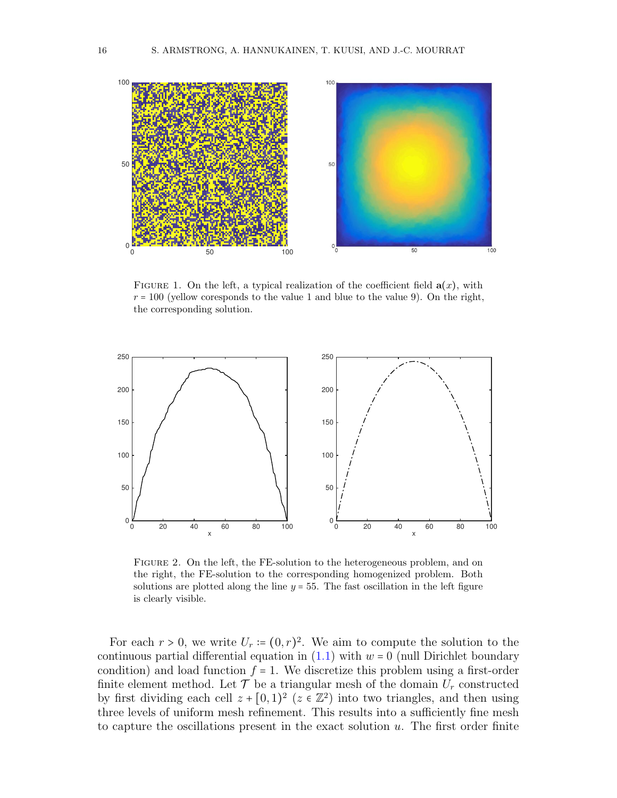<span id="page-15-0"></span>

FIGURE 1. On the left, a typical realization of the coefficient field  $a(x)$ , with  $r = 100$  (yellow coresponds to the value 1 and blue to the value 9). On the right, the corresponding solution.

<span id="page-15-1"></span>

FIGURE 2. On the left, the FE-solution to the heterogeneous problem, and on the right, the FE-solution to the corresponding homogenized problem. Both solutions are plotted along the line  $y = 55$ . The fast oscillation in the left figure is clearly visible.

For each  $r > 0$ , we write  $U_r = (0, r)^2$ . We aim to compute the solution to the continuous partial differential equation in  $(1.1)$  with  $w = 0$  (null Dirichlet boundary condition) and load function  $f = 1$ . We discretize this problem using a first-order finite element method. Let  $\mathcal T$  be a triangular mesh of the domain  $U_r$  constructed by first dividing each cell  $z + [0,1)^2$  ( $z \in \mathbb{Z}^2$ ) into two triangles, and then using three levels of uniform mesh refinement. This results into a sufficiently fine mesh to capture the oscillations present in the exact solution  $u$ . The first order finite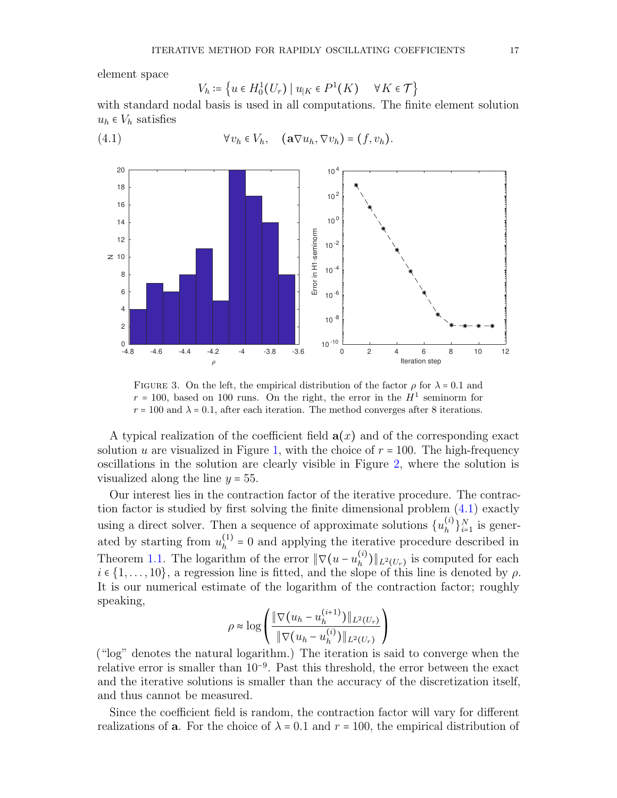element space

<span id="page-16-0"></span>
$$
V_h \coloneqq \left\{ u \in H_0^1(U_r) \mid u_{|K} \in P^1(K) \quad \forall K \in \mathcal{T} \right\}
$$

with standard nodal basis is used in all computations. The finite element solution  $u_h \in V_h$  satisfies

(4.1) 
$$
\forall v_h \in V_h, \quad (\mathbf{a} \nabla u_h, \nabla v_h) = (f, v_h).
$$

<span id="page-16-1"></span>

FIGURE 3. On the left, the empirical distribution of the factor  $\rho$  for  $\lambda = 0.1$  and  $r = 100$ , based on 100 runs. On the right, the error in the  $H<sup>1</sup>$  seminorm for  $r = 100$  and  $\lambda = 0.1$ , after each iteration. The method converges after 8 iterations.

A typical realization of the coefficient field  $a(x)$  and of the corresponding exact solution u are visualized in Figure [1,](#page-15-0) with the choice of  $r = 100$ . The high-frequency oscillations in the solution are clearly visible in Figure [2,](#page-15-1) where the solution is visualized along the line  $y = 55$ .

Our interest lies in the contraction factor of the iterative procedure. The contraction factor is studied by first solving the finite dimensional problem [\(4.1\)](#page-16-0) exactly using a direct solver. Then a sequence of approximate solutions  $\{u_h^{(i)}\}$  $\binom{i}{h}$ <sub> $i=1$ </sub> is generated by starting from  $u_h^{(1)}$  $h_h^{(1)}$  = 0 and applying the iterative procedure described in Theorem [1.1.](#page-2-0) The logarithm of the error  $\|\nabla(u - u_h^{(i)})\|$  $_{h}^{(i)})\|_{L^{2}(U_{r})}$  is computed for each  $i \in \{1, \ldots, 10\}$ , a regression line is fitted, and the slope of this line is denoted by  $\rho$ . It is our numerical estimate of the logarithm of the contraction factor; roughly speaking,

$$
\rho \approx \log \left( \frac{\|\nabla (u_h - u_h^{(i+1)})\|_{L^2(U_r)}}{\|\nabla (u_h - u_h^{(i)})\|_{L^2(U_r)}} \right)
$$

("log" denotes the natural logarithm.) The iteration is said to converge when the relative error is smaller than 10<sup>−</sup><sup>9</sup> . Past this threshold, the error between the exact and the iterative solutions is smaller than the accuracy of the discretization itself, and thus cannot be measured.

Since the coefficient field is random, the contraction factor will vary for different realizations of **a**. For the choice of  $\lambda = 0.1$  and  $r = 100$ , the empirical distribution of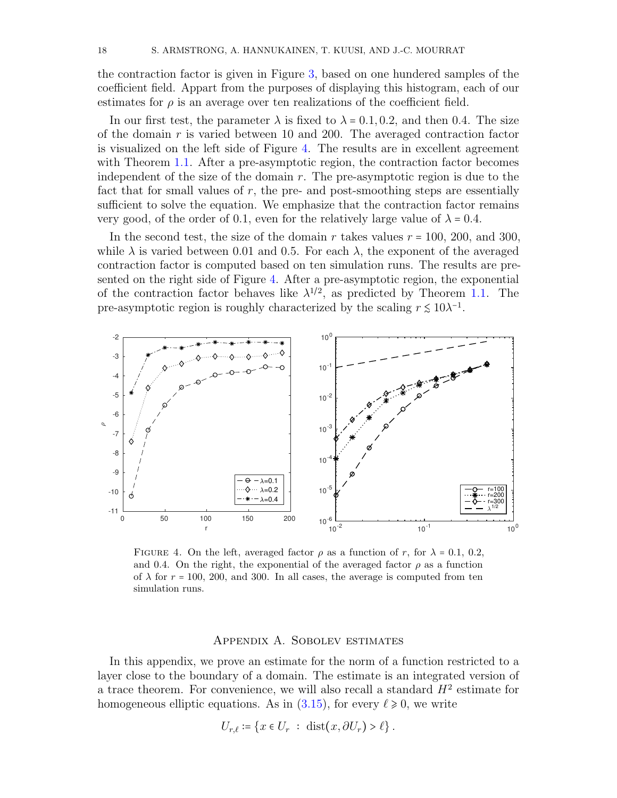the contraction factor is given in Figure [3,](#page-16-1) based on one hundered samples of the coefficient field. Appart from the purposes of displaying this histogram, each of our estimates for  $\rho$  is an average over ten realizations of the coefficient field.

In our first test, the parameter  $\lambda$  is fixed to  $\lambda = 0.1, 0.2$ , and then 0.4. The size of the domain r is varied between 10 and 200. The averaged contraction factor is visualized on the left side of Figure [4.](#page-17-0) The results are in excellent agreement with Theorem [1.1.](#page-2-0) After a pre-asymptotic region, the contraction factor becomes independent of the size of the domain  $r$ . The pre-asymptotic region is due to the fact that for small values of r, the pre- and post-smoothing steps are essentially sufficient to solve the equation. We emphasize that the contraction factor remains very good, of the order of 0.1, even for the relatively large value of  $\lambda = 0.4$ .

In the second test, the size of the domain r takes values  $r = 100, 200,$  and 300, while  $\lambda$  is varied between 0.01 and 0.5. For each  $\lambda$ , the exponent of the averaged contraction factor is computed based on ten simulation runs. The results are presented on the right side of Figure [4.](#page-17-0) After a pre-asymptotic region, the exponential of the contraction factor behaves like  $\lambda^{1/2}$ , as predicted by Theorem [1.1.](#page-2-0) The pre-asymptotic region is roughly characterized by the scaling  $r \lesssim 10\lambda^{-1}$ .

<span id="page-17-0"></span>

FIGURE 4. On the left, averaged factor  $\rho$  as a function of r, for  $\lambda = 0.1, 0.2$ , and 0.4. On the right, the exponential of the averaged factor  $\rho$  as a function of  $\lambda$  for  $r = 100$ , 200, and 300. In all cases, the average is computed from ten simulation runs.

#### Appendix A. Sobolev estimates

In this appendix, we prove an estimate for the norm of a function restricted to a layer close to the boundary of a domain. The estimate is an integrated version of a trace theorem. For convenience, we will also recall a standard  $H<sup>2</sup>$  estimate for homogeneous elliptic equations. As in  $(3.15)$ , for every  $\ell \ge 0$ , we write

$$
U_{r,\ell} \coloneqq \{x \in U_r \; : \; \text{dist}(x, \partial U_r) > \ell\}.
$$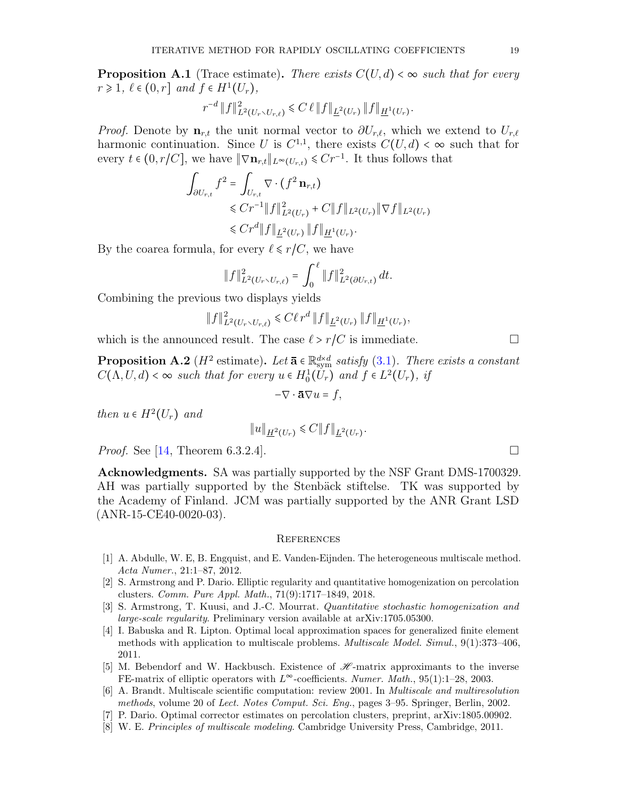<span id="page-18-8"></span>**Proposition A.1** (Trace estimate). There exists  $C(U, d) < \infty$  such that for every  $r \geq 1, \ell \in (0, r]$  and  $f \in H^1(U_r)$ ,

$$
r^{-d} \|f\|_{L^2(U_r \setminus U_{r,\ell})}^2 \leq C \,\ell \|f\|_{\underline{L}^2(U_r)} \|f\|_{\underline{H}^1(U_r)}.
$$

*Proof.* Denote by  $\mathbf{n}_{r,t}$  the unit normal vector to  $\partial U_{r,\ell}$ , which we extend to  $U_{r,\ell}$ harmonic continuation. Since U is  $C^{1,1}$ , there exists  $C(U, d) < \infty$  such that for every  $t \in (0, r/C]$ , we have  $\|\nabla \mathbf{n}_{r,t}\|_{L^{\infty}(U_{r,t})} \leqslant Cr^{-1}$ . It thus follows that

$$
\int_{\partial U_{r,t}} f^2 = \int_{U_{r,t}} \nabla \cdot (f^2 \mathbf{n}_{r,t})
$$
\n
$$
\leq C r^{-1} \|f\|_{L^2(U_r)}^2 + C \|f\|_{L^2(U_r)} \|\nabla f\|_{L^2(U_r)}
$$
\n
$$
\leq C r^d \|f\|_{\underline{L}^2(U_r)} \|f\|_{\underline{H}^1(U_r)}.
$$

By the coarea formula, for every  $\ell \leq r/C$ , we have

$$
||f||_{L^{2}(U_{r}\setminus U_{r,\ell})}^{2} = \int_{0}^{\ell} ||f||_{L^{2}(\partial U_{r,t})}^{2} dt.
$$

Combining the previous two displays yields

$$
||f||_{L^{2}(U_{r}\setminus U_{r,\ell})}^{2} \leq C\ell r^{d} ||f||_{\underline{L}^{2}(U_{r})} ||f||_{\underline{H}^{1}(U_{r})},
$$

which is the announced result. The case  $\ell > r/C$  is immediate.

<span id="page-18-9"></span>**Proposition A.2** ( $H^2$  estimate). Let  $\bar{\mathbf{a}} \in \mathbb{R}^{d \times d}_{sym}$  satisfy [\(3.1\)](#page-7-2). There exists a constant  $C(\Lambda, U, d) < \infty$  such that for every  $u \in H_0^1(U_r)$  and  $f \in L^2(U_r)$ , if

$$
-\nabla \cdot \mathbf{\bar{a}} \nabla u = f,
$$

then  $u \in H^2(U_r)$  and

$$
||u||_{\underline{H}^{2}(U_{r})} \leq C||f||_{\underline{L}^{2}(U_{r})}.
$$

*Proof.* See [\[14,](#page-19-23) Theorem 6.3.2.4].

Acknowledgments. SA was partially supported by the NSF Grant DMS-1700329. AH was partially supported by the Stenbäck stiftelse. TK was supported by the Academy of Finland. JCM was partially supported by the ANR Grant LSD (ANR-15-CE40-0020-03).

#### **REFERENCES**

- <span id="page-18-3"></span>[1] A. Abdulle, W. E, B. Engquist, and E. Vanden-Eijnden. The heterogeneous multiscale method. Acta Numer., 21:1–87, 2012.
- <span id="page-18-4"></span>[2] S. Armstrong and P. Dario. Elliptic regularity and quantitative homogenization on percolation clusters. Comm. Pure Appl. Math., 71(9):1717–1849, 2018.
- <span id="page-18-0"></span>[3] S. Armstrong, T. Kuusi, and J.-C. Mourrat. Quantitative stochastic homogenization and large-scale regularity. Preliminary version available at arXiv:1705.05300.
- <span id="page-18-7"></span>[4] I. Babuska and R. Lipton. Optimal local approximation spaces for generalized finite element methods with application to multiscale problems. Multiscale Model. Simul., 9(1):373–406, 2011.
- <span id="page-18-6"></span>[5] M. Bebendorf and W. Hackbusch. Existence of  $\mathscr{H}$ -matrix approximants to the inverse FE-matrix of elliptic operators with  $L^{\infty}$ -coefficients. Numer. Math., 95(1):1–28, 2003.
- <span id="page-18-1"></span>[6] A. Brandt. Multiscale scientific computation: review 2001. In Multiscale and multiresolution methods, volume 20 of Lect. Notes Comput. Sci. Eng., pages 3–95. Springer, Berlin, 2002.
- <span id="page-18-5"></span>[7] P. Dario. Optimal corrector estimates on percolation clusters, preprint, arXiv:1805.00902.
- <span id="page-18-2"></span>[8] W. E. Principles of multiscale modeling. Cambridge University Press, Cambridge, 2011.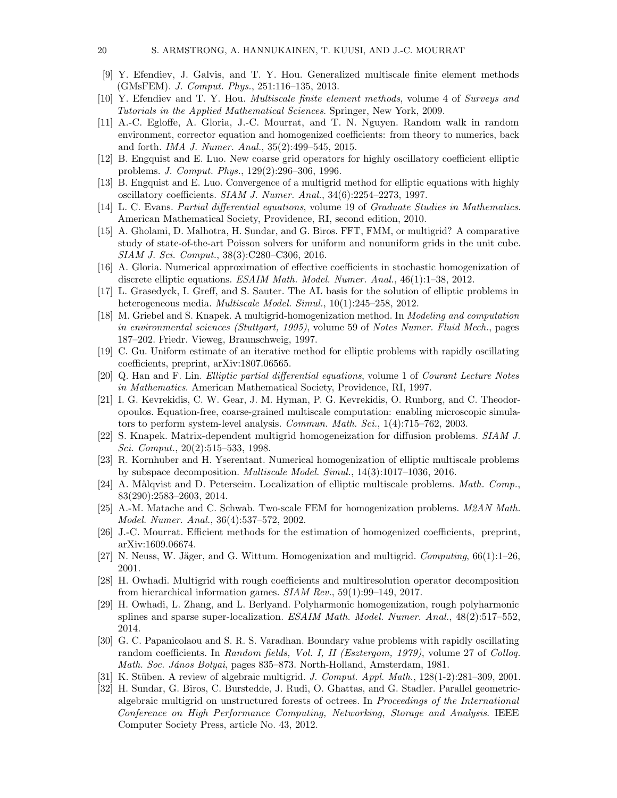- <span id="page-19-16"></span>[9] Y. Efendiev, J. Galvis, and T. Y. Hou. Generalized multiscale finite element methods (GMsFEM). J. Comput. Phys., 251:116–135, 2013.
- <span id="page-19-10"></span>[10] Y. Efendiev and T. Y. Hou. Multiscale finite element methods, volume 4 of Surveys and Tutorials in the Applied Mathematical Sciences. Springer, New York, 2009.
- <span id="page-19-6"></span>[11] A.-C. Egloffe, A. Gloria, J.-C. Mourrat, and T. N. Nguyen. Random walk in random environment, corrector equation and homogenized coefficients: from theory to numerics, back and forth. IMA J. Numer. Anal., 35(2):499–545, 2015.
- <span id="page-19-13"></span>[12] B. Engquist and E. Luo. New coarse grid operators for highly oscillatory coefficient elliptic problems. J. Comput. Phys., 129(2):296–306, 1996.
- <span id="page-19-14"></span>[13] B. Engquist and E. Luo. Convergence of a multigrid method for elliptic equations with highly oscillatory coefficients. SIAM J. Numer. Anal., 34(6):2254–2273, 1997.
- <span id="page-19-23"></span>[14] L. C. Evans. Partial differential equations, volume 19 of Graduate Studies in Mathematics. American Mathematical Society, Providence, RI, second edition, 2010.
- <span id="page-19-0"></span>[15] A. Gholami, D. Malhotra, H. Sundar, and G. Biros. FFT, FMM, or multigrid? A comparative study of state-of-the-art Poisson solvers for uniform and nonuniform grids in the unit cube. SIAM J. Sci. Comput., 38(3):C280–C306, 2016.
- <span id="page-19-5"></span>[16] A. Gloria. Numerical approximation of effective coefficients in stochastic homogenization of discrete elliptic equations. ESAIM Math. Model. Numer. Anal., 46(1):1–38, 2012.
- <span id="page-19-17"></span>[17] L. Grasedyck, I. Greff, and S. Sauter. The AL basis for the solution of elliptic problems in heterogeneous media. Multiscale Model. Simul., 10(1):245–258, 2012.
- <span id="page-19-11"></span>[18] M. Griebel and S. Knapek. A multigrid-homogenization method. In Modeling and computation in environmental sciences (Stuttgart, 1995), volume 59 of Notes Numer. Fluid Mech., pages 187–202. Friedr. Vieweg, Braunschweig, 1997.
- <span id="page-19-3"></span>[19] C. Gu. Uniform estimate of an iterative method for elliptic problems with rapidly oscillating coefficients, preprint, arXiv:1807.06565.
- <span id="page-19-22"></span>[20] Q. Han and F. Lin. Elliptic partial differential equations, volume 1 of Courant Lecture Notes in Mathematics. American Mathematical Society, Providence, RI, 1997.
- <span id="page-19-9"></span>[21] I. G. Kevrekidis, C. W. Gear, J. M. Hyman, P. G. Kevrekidis, O. Runborg, and C. Theodoropoulos. Equation-free, coarse-grained multiscale computation: enabling microscopic simulators to perform system-level analysis. Commun. Math. Sci., 1(4):715–762, 2003.
- <span id="page-19-12"></span>[22] S. Knapek. Matrix-dependent multigrid homogeneization for diffusion problems. SIAM J. Sci. Comput., 20(2):515–533, 1998.
- <span id="page-19-20"></span>[23] R. Kornhuber and H. Yserentant. Numerical homogenization of elliptic multiscale problems by subspace decomposition. Multiscale Model. Simul., 14(3):1017–1036, 2016.
- <span id="page-19-19"></span>[24] A. Målqvist and D. Peterseim. Localization of elliptic multiscale problems. *Math. Comp.*, 83(290):2583–2603, 2014.
- <span id="page-19-8"></span>[25] A.-M. Matache and C. Schwab. Two-scale FEM for homogenization problems. M2AN Math. Model. Numer. Anal., 36(4):537–572, 2002.
- <span id="page-19-4"></span>[26] J.-C. Mourrat. Efficient methods for the estimation of homogenized coefficients, preprint, arXiv:1609.06674.
- <span id="page-19-7"></span>[27] N. Neuss, W. Jäger, and G. Wittum. Homogenization and multigrid. Computing,  $66(1)$ :1–26, 2001.
- <span id="page-19-21"></span>[28] H. Owhadi. Multigrid with rough coefficients and multiresolution operator decomposition from hierarchical information games. SIAM Rev., 59(1):99–149, 2017.
- <span id="page-19-18"></span>[29] H. Owhadi, L. Zhang, and L. Berlyand. Polyharmonic homogenization, rough polyharmonic splines and sparse super-localization. ESAIM Math. Model. Numer. Anal., 48(2):517–552, 2014.
- <span id="page-19-2"></span>[30] G. C. Papanicolaou and S. R. S. Varadhan. Boundary value problems with rapidly oscillating random coefficients. In Random fields, Vol. I, II (Esztergom, 1979), volume 27 of Colloq. Math. Soc. János Bolyai, pages 835–873. North-Holland, Amsterdam, 1981.
- <span id="page-19-15"></span>[31] K. Stüben. A review of algebraic multigrid. J. Comput. Appl. Math.,  $128(1-2):281-309$ , 2001.
- <span id="page-19-1"></span>[32] H. Sundar, G. Biros, C. Burstedde, J. Rudi, O. Ghattas, and G. Stadler. Parallel geometricalgebraic multigrid on unstructured forests of octrees. In Proceedings of the International Conference on High Performance Computing, Networking, Storage and Analysis. IEEE Computer Society Press, article No. 43, 2012.